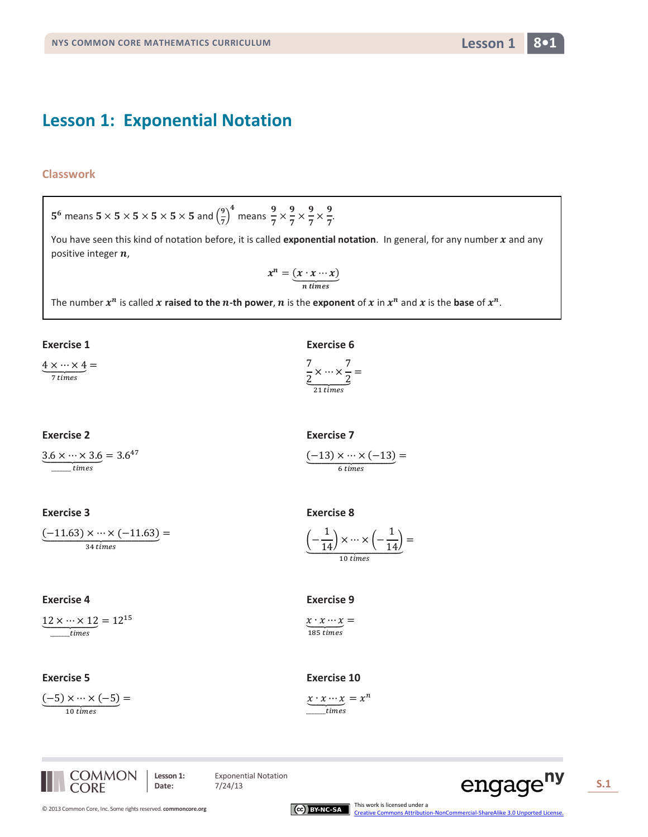## **Lesson 1: Exponential Notation**

### **Classwork**

# 5<sup>6</sup> means  $5 \times 5 \times 5 \times 5 \times 5 \times 5$  and  $\left(\frac{9}{7}\right)^4$  means  $\frac{9}{7} \times \frac{9}{7} \times \frac{9}{7} \times \frac{9}{7}$ .

You have seen this kind of notation before, it is called exponential notation. In general, for any number  $x$  and any positive integer n,

$$
x^n = \underbrace{(x \cdot x \cdots x)}_{n \text{ times}}
$$

The number  $x^n$  is called x raised to the n-th power, n is the exponent of x in  $x^n$  and x is the base of  $x^n$ .

#### **Exercise 1**

 $\underbrace{4\times\cdots\times4}_{7\, times}=$ 

#### **Exercise 2**

 $3.6 \times \cdots \times 3.6 = 3.6^{47}$  $\frac{1}{\sqrt{1 + \frac{1}{2}}}\frac{1}{\sqrt{1 + \frac{1}{2}}}\frac{1}{\sqrt{1 + \frac{1}{2}}}\frac{1}{\sqrt{1 + \frac{1}{2}}}\frac{1}{\sqrt{1 + \frac{1}{2}}}\frac{1}{\sqrt{1 + \frac{1}{2}}}\frac{1}{\sqrt{1 + \frac{1}{2}}}\frac{1}{\sqrt{1 + \frac{1}{2}}}\frac{1}{\sqrt{1 + \frac{1}{2}}}\frac{1}{\sqrt{1 + \frac{1}{2}}}\frac{1}{\sqrt{1 + \frac{1}{2}}}\frac{1}{\sqrt{1 + \frac{1}{2}}}\frac{1}{\sqrt{1 + \frac{1}{2$ 

## **Exercise 3**

 $(-11.63) \times \cdots \times (-11.63) =$  $34 \, times$ 

#### **Exercise 4**

 $12 \times \cdots \times 12 = 12^{15}$  $\frac{1}{\text{times}}$ 

#### **Exercise 5**

 $(-5) \times \cdots \times (-5) =$ 10 times

**Exercise 6** 

$$
\frac{7}{2} \times \cdots \times \frac{7}{2} =
$$
  

$$
\frac{7}{21 \text{ times}}
$$

$$
\underbrace{(-13) \times \cdots \times (-13)}_{6 \text{ times}} =
$$

$$
\underbrace{\left(-\frac{1}{14}\right) \times \cdots \times \left(-\frac{1}{14}\right)}_{10 \text{ times}} =
$$

 $x \cdot x \cdots x =$ 185 times

#### **Exercise 10**

 $x \cdot x \cdots x = x^n$  $time$ s





**Exponential Notation** 

 $7/24/13$ 





Lesson 1

 $8•1$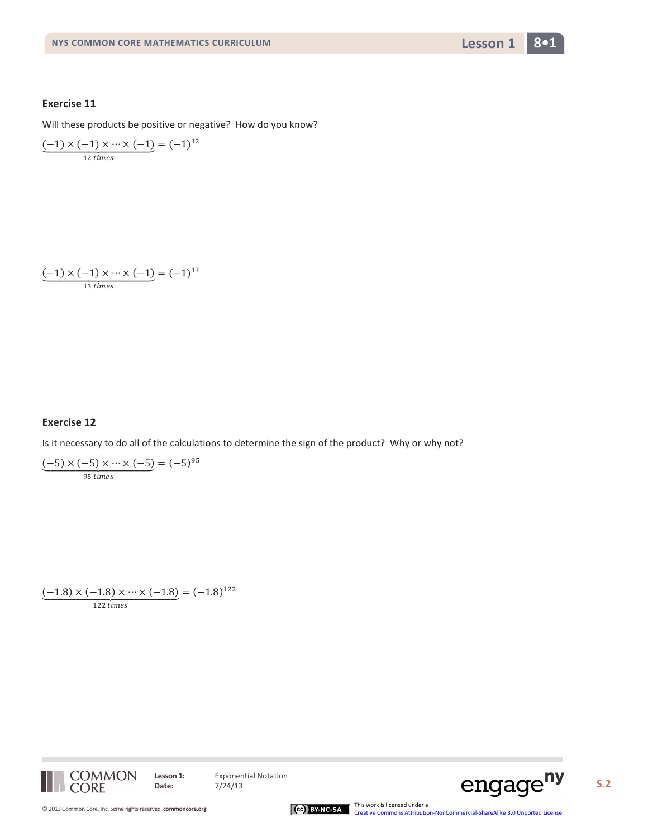

Will these products be positive or negative? How do you know?

$$
\underbrace{(-1) \times (-1) \times \cdots \times (-1)}_{12 \text{ times}} = (-1)^{12}
$$

$$
\underbrace{(-1) \times (-1) \times \cdots \times (-1)}_{13 \text{ times}} = (-1)^{13}
$$

#### **Exercise 12**

Is it necessary to do all of the calculations to determine the sign of the product? Why or why not?

$$
\underbrace{(-5) \times (-5) \times \cdots \times (-5)}_{95 \text{ times}} = (-5)^{95}
$$

 $\underbrace{(-1.8)\times(-1.8)\times\cdots\times(-1.8)}_{122 \; times} = (-1.8)^{122}$ 



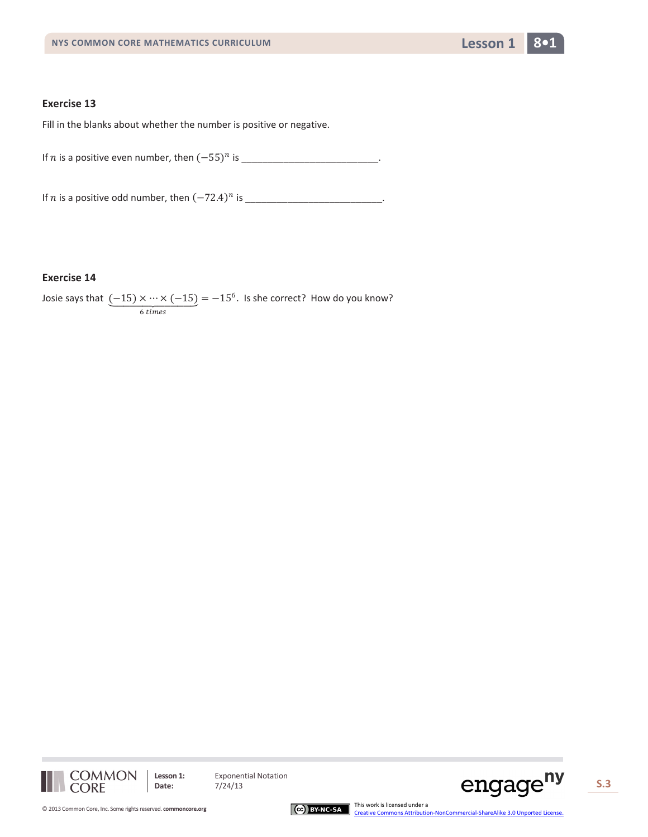

Fill in the blanks about whether the number is positive or negative.

If *n* is a positive even number, then  $(-55)^n$  is

If is a positive odd number, then (−72.4) is \_\_\_\_\_\_\_\_\_\_\_\_\_\_\_\_\_\_\_\_\_\_\_\_\_\_.

## **Exercise 14**

Josie says that  $\underbrace{(-15) \times \cdots \times (-15)}$ 6 times  $= -15<sup>6</sup>$ . Is she correct? How do you know?



**Lesson 1:** Exponential Notation<br>Date: 7/24/13



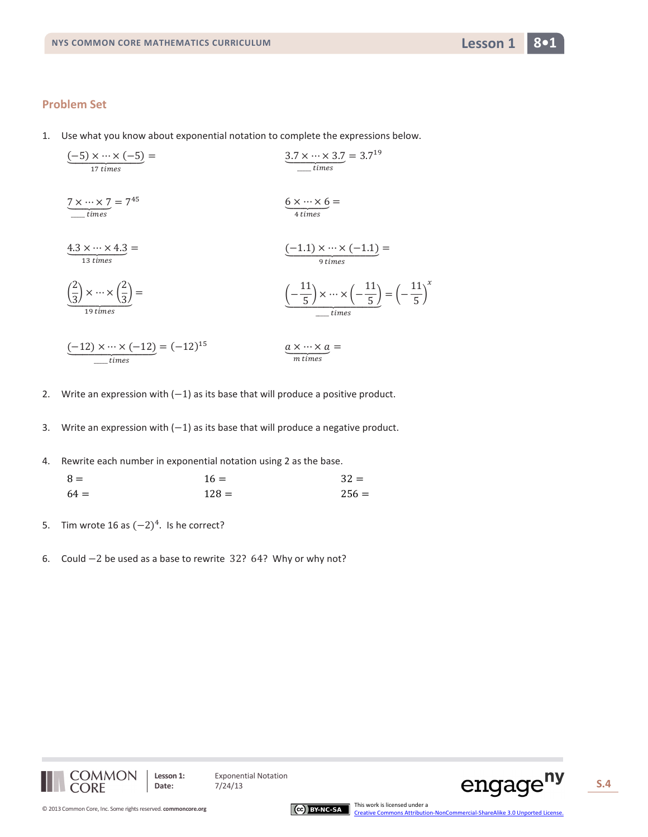Use what you know about exponential notation to complete the expressions below. 1.

$$
\underbrace{(-5) \times \cdots \times (-5)}_{17 \text{ times}} = \underbrace{3.7 \times \cdots \times 3.7}_{times} = 3.7^{19}
$$
\n
$$
\underbrace{7 \times \cdots \times 7}_{times} = 7^{45}
$$
\n
$$
\underbrace{6 \times \cdots \times 6}_{4 \text{ times}} = \underbrace{6 \times \cdots \times 6}_{4 \text{ times}}
$$
\n
$$
\underbrace{4.3 \times \cdots \times 4.3}_{13 \text{ times}} = \underbrace{(-1.1) \times \cdots \times (-1.1)}_{9 \text{ times}} = \underbrace{(-\frac{11}{5}) \times \cdots \times (-\frac{11}{5})}_{times} = \underbrace{(-\frac{11}{5})^{\text{ times}}}_{times}
$$
\n
$$
\underbrace{(-12) \times \cdots \times (-12)}_{times} = (-12)^{15}
$$
\n
$$
\underbrace{a \times \cdots \times a}_{m \text{ times}} = \underbrace{a \times \cdots \times a}_{m \text{ times}} = \underbrace{0 \times \cdots \times 0}_{m \text{ times}}
$$

- Write an expression with  $(-1)$  as its base that will produce a positive product.  $2.$
- Write an expression with  $(-1)$  as its base that will produce a negative product. 3.
- Rewrite each number in exponential notation using 2 as the base. 4.

| $8 =$  | $16 =$  | $32 =$  |
|--------|---------|---------|
| $64 =$ | $128 =$ | $256 =$ |

- Tim wrote 16 as  $(-2)^4$ . Is he correct? 5.
- 6. Could  $-2$  be used as a base to rewrite 32? 64? Why or why not?





**Exponential Notation** 

 $7/24/13$ 

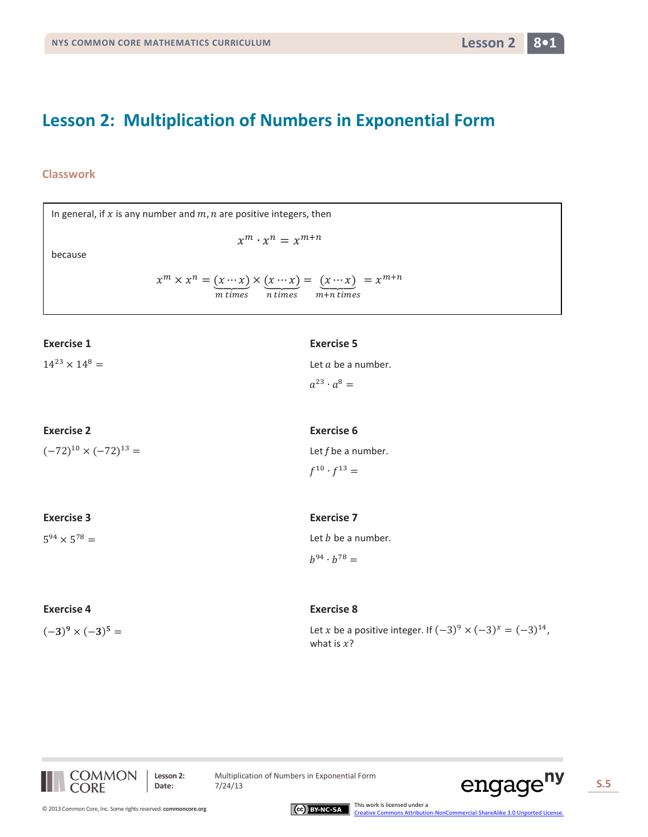## **Lesson 2: Multiplication of Numbers in Exponential Form**

## **Classwork**

| In general, if $x$ is any number and $m$ , $n$ are positive integers, then |                                                                                                                                                                     |  |
|----------------------------------------------------------------------------|---------------------------------------------------------------------------------------------------------------------------------------------------------------------|--|
|                                                                            | $x^m \cdot x^n = x^{m+n}$                                                                                                                                           |  |
| because                                                                    |                                                                                                                                                                     |  |
|                                                                            | $x^m \times x^n = (x \cdots x) \times (x \cdots x) = (x \cdots x) \over n \text{ times} = x^{m+n}$<br>$x^m \times x^n = (x \cdots x) \times (x \cdots x) = x^{m+n}$ |  |
| <b>Exercise 1</b>                                                          | <b>Exercise 5</b>                                                                                                                                                   |  |
| $14^{23} \times 14^8 =$                                                    | Let $a$ be a number.                                                                                                                                                |  |
|                                                                            | $a^{23} \cdot a^8 =$                                                                                                                                                |  |
| <b>Exercise 2</b>                                                          | <b>Exercise 6</b>                                                                                                                                                   |  |
| $(-72)^{10} \times (-72)^{13} =$                                           | Let $f$ be a number.                                                                                                                                                |  |
|                                                                            | $f^{10} \cdot f^{13} =$                                                                                                                                             |  |
| <b>Exercise 3</b>                                                          | <b>Exercise 7</b>                                                                                                                                                   |  |
| $5^{94} \times 5^{78} =$                                                   | Let $b$ be a number.                                                                                                                                                |  |
|                                                                            | $b^{94} \cdot b^{78} =$                                                                                                                                             |  |

| <b>Exercise 4</b>        | <b>Exercise 8</b>                                                                     |
|--------------------------|---------------------------------------------------------------------------------------|
| $(-3)^9 \times (-3)^5 =$ | Let x be a positive integer. If $(-3)^9 \times (-3)^x = (-3)^{14}$ ,<br>what is $x$ ? |



**Lesson 2:** Multiplication of Numbers in Exponential Form<br>Date:  $7/24/13$ 





CCC BY-NC-SA Ins work is licensed under a creative Commons Attribution-NonCommercial-ShareAlike 3.0 Unported License.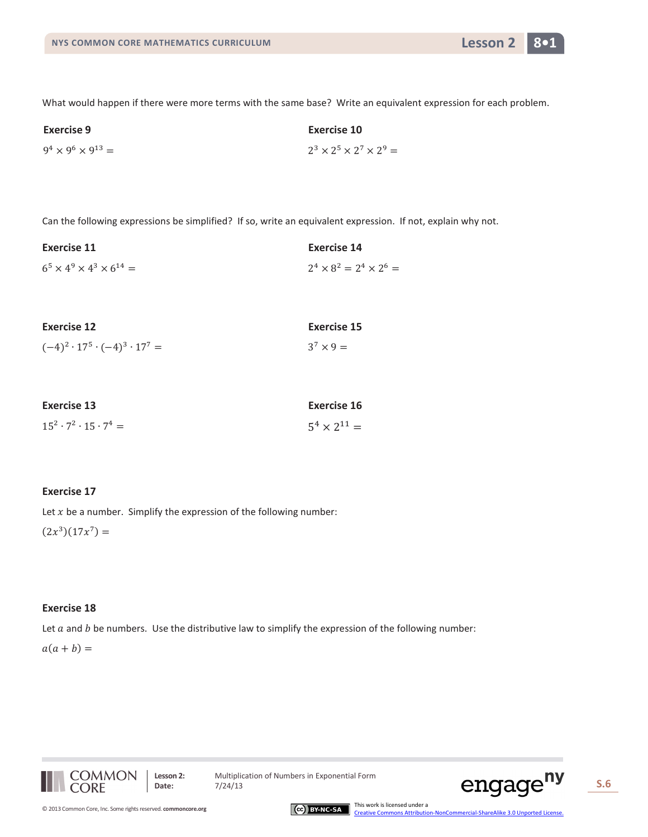

What would happen if there were more terms with the same base? Write an equivalent expression for each problem.

| <b>Exercise 9</b>                | Exercise 10                              |
|----------------------------------|------------------------------------------|
| $9^4 \times 9^6 \times 9^{13} =$ | $2^3 \times 2^5 \times 2^7 \times 2^9 =$ |

Can the following expressions be simplified? If so, write an equivalent expression. If not, explain why not.

| Exercise 11                                 | Exercise 14                         |
|---------------------------------------------|-------------------------------------|
| $6^5 \times 4^9 \times 4^3 \times 6^{14} =$ | $2^4 \times 8^2 = 2^4 \times 2^6 =$ |

| <b>Exercise 12</b>                            | Exercise 15      |
|-----------------------------------------------|------------------|
| $(-4)^2 \cdot 17^5 \cdot (-4)^3 \cdot 17^7 =$ | $3^7 \times 9 =$ |

| <b>Exercise 13</b>                    | Exercise 16           |
|---------------------------------------|-----------------------|
| $15^2 \cdot 7^2 \cdot 15 \cdot 7^4 =$ | $5^4 \times 2^{11} =$ |

#### **Exercise 17**

Let  $x$  be a number. Simplify the expression of the following number:

 $(2x^3)(17x^7) =$ 

#### **Exercise 18**

Let  $a$  and  $b$  be numbers. Use the distributive law to simplify the expression of the following number:

 $a(a + b) =$ 



**Lesson 2:** Multiplication of Numbers in Exponential Form



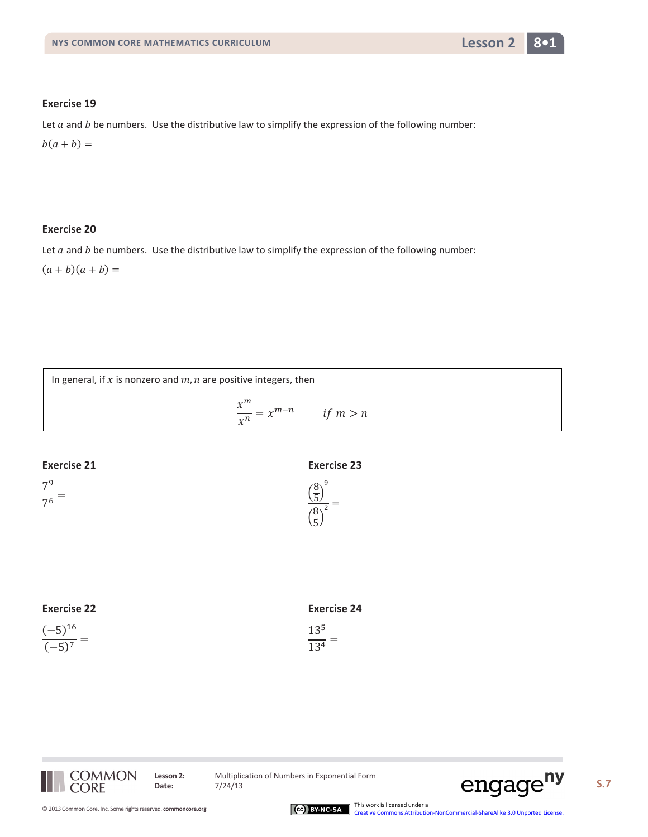

Let  $a$  and  $b$  be numbers. Use the distributive law to simplify the expression of the following number:

 $b(a + b) =$ 

## **Exercise 20**

Let  $a$  and  $b$  be numbers. Use the distributive law to simplify the expression of the following number:

 $(a + b)(a + b) =$ 



| <b>Exercise 22</b> |
|--------------------|
|--------------------|

|  | ۰.<br>٠ |
|--|---------|
|  |         |

| <b>Exercise 24</b> |  |
|--------------------|--|
| $13^{5}$           |  |

 $\frac{13^4}{ }$ 



**Lesson 2:** Multiplication of Numbers in Exponential Form<br>Date:  $7/24/13$ 



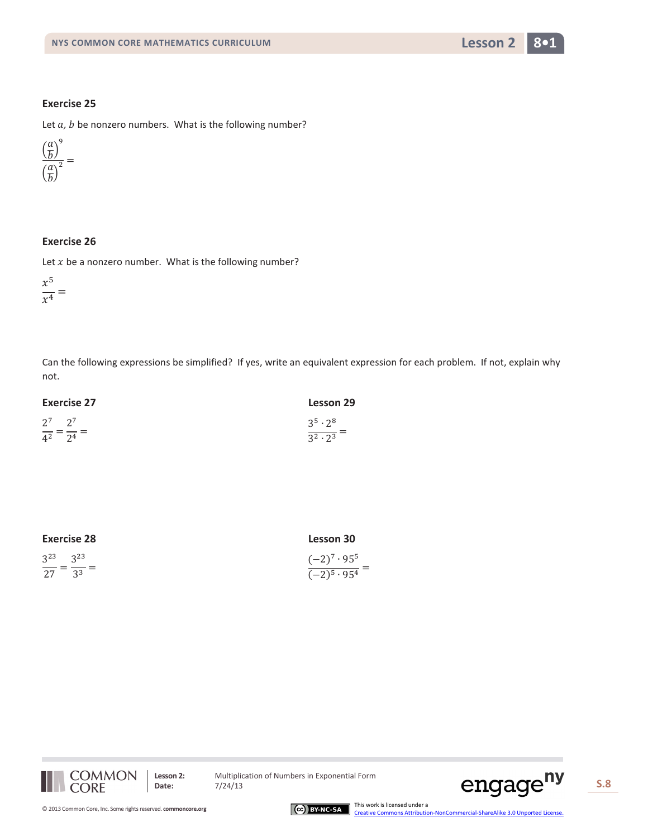

Let *a*, *b* be nonzero numbers. What is the following number?



## **Exercise 26**

Let  $x$  be a nonzero number. What is the following number?

 $x^5$  $\overline{x^4}$  =

Can the following expressions be simplified? If yes, write an equivalent expression for each problem. If not, explain why not.

| <b>Exercise 27</b>                | <b>Lesson 29</b>          |
|-----------------------------------|---------------------------|
| $2^7$ $2^7$                       | 35.28                     |
| $\frac{1}{4^2} = \frac{1}{2^4} =$ | $\frac{1}{3^2 \cdot 2^3}$ |

| <b>Exercise 28</b>               | <b>Lesson 30</b>              |
|----------------------------------|-------------------------------|
| $3^{23}$ $3^{23}$                | $(-2)^7 \cdot 95^5$           |
| $\frac{1}{27} = \frac{1}{3^3} =$ | $\frac{(-2)^5 \cdot 95^4}{2}$ |



**Lesson 2:** Multiplication of Numbers in Exponential Form<br>Date:  $7/24/13$ 



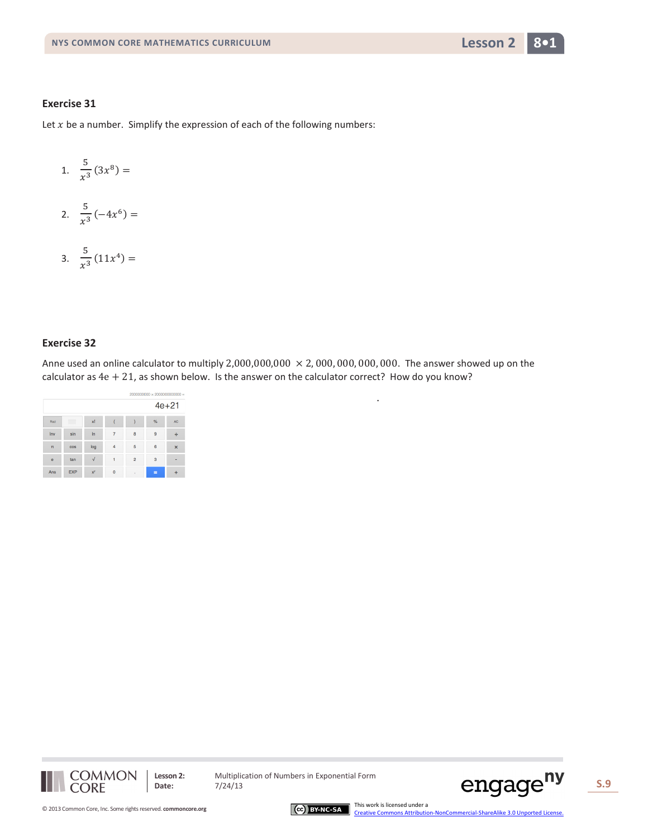

Let  $x$  be a number. Simplify the expression of each of the following numbers:

- 1.  $\frac{5}{x^3}(3x^8) =$
- 2.  $\frac{5}{x^3}(-4x^6) =$
- 3.  $\frac{5}{x^3}(11x^4) =$

## **Exercise 32**

Anne used an online calculator to multiply  $2,000,000,000 \times 2,000,000,000,000$ . The answer showed up on the calculator as  $4e + 21$ , as shown below. Is the answer on the calculator correct? How do you know?

.

|                         |                     |       |          |                | $2000000000 \times 2000000000000 =$ |                           |
|-------------------------|---------------------|-------|----------|----------------|-------------------------------------|---------------------------|
|                         |                     |       |          |                |                                     | $4e + 21$                 |
| Rad                     | -------<br><br><br> | xl    |          |                | $\frac{9}{6}$                       | <b>AC</b>                 |
| Inv                     | sin                 | $\ln$ | 7        | 8              | $\overline{9}$                      | ÷                         |
| $\mathbf{\overline{u}}$ | cos                 | log   | 4        | 5              | 6                                   | $\boldsymbol{\mathsf{x}}$ |
| ė                       | tan                 |       |          | $\overline{2}$ | 3                                   |                           |
| Ans                     | <b>EXP</b>          | $x^y$ | $\Omega$ | ×,             | =                                   |                           |



**Lesson 2:** Multiplication of Numbers in Exponential Form



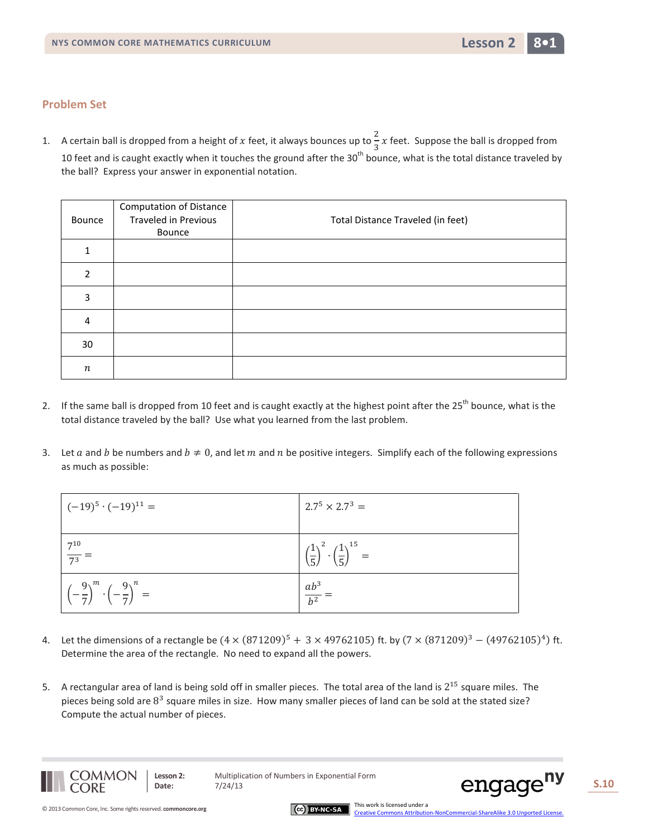

1. A certain ball is dropped from a height of x feet, it always bounces up to  $\frac{2}{3}$  $\frac{2}{3}x$  feet. Suppose the ball is dropped from 10 feet and is caught exactly when it touches the ground after the  $30<sup>th</sup>$  bounce, what is the total distance traveled by the ball? Express your answer in exponential notation.

| Bounce           | <b>Computation of Distance</b><br><b>Traveled in Previous</b><br>Bounce | Total Distance Traveled (in feet) |
|------------------|-------------------------------------------------------------------------|-----------------------------------|
|                  |                                                                         |                                   |
| $\mathcal{P}$    |                                                                         |                                   |
| 3                |                                                                         |                                   |
| 4                |                                                                         |                                   |
| 30               |                                                                         |                                   |
| $\boldsymbol{n}$ |                                                                         |                                   |

- 2. If the same ball is dropped from 10 feet and is caught exactly at the highest point after the 25<sup>th</sup> bounce, what is the total distance traveled by the ball? Use what you learned from the last problem.
- 3. Let a and b be numbers and  $b \neq 0$ , and let m and n be positive integers. Simplify each of the following expressions as much as possible:

| $(-19)^5 \cdot (-19)^{11} =$                                      | $2.7^5 \times 2.7^3 =$                                             |
|-------------------------------------------------------------------|--------------------------------------------------------------------|
| $rac{7^{10}}{7^3}$ =                                              | $\left(\frac{1}{5}\right)^2 \cdot \left(\frac{1}{5}\right)^{15} =$ |
| $\left(-\frac{9}{7}\right)^m \cdot \left(-\frac{9}{7}\right)^n =$ | $\frac{ab^3}{b^2} =$                                               |

- 4. Let the dimensions of a rectangle be  $(4 \times (871209)^5 + 3 \times 49762105)$  ft. by  $(7 \times (871209)^3 (49762105)^4)$  ft. Determine the area of the rectangle. No need to expand all the powers.
- 5. A rectangular area of land is being sold off in smaller pieces. The total area of the land is 2<sup>15</sup> square miles. The pieces being sold are  $8<sup>3</sup>$  square miles in size. How many smaller pieces of land can be sold at the stated size? Compute the actual number of pieces.



**Lesson 2:** Multiplication of Numbers in Exponential Form

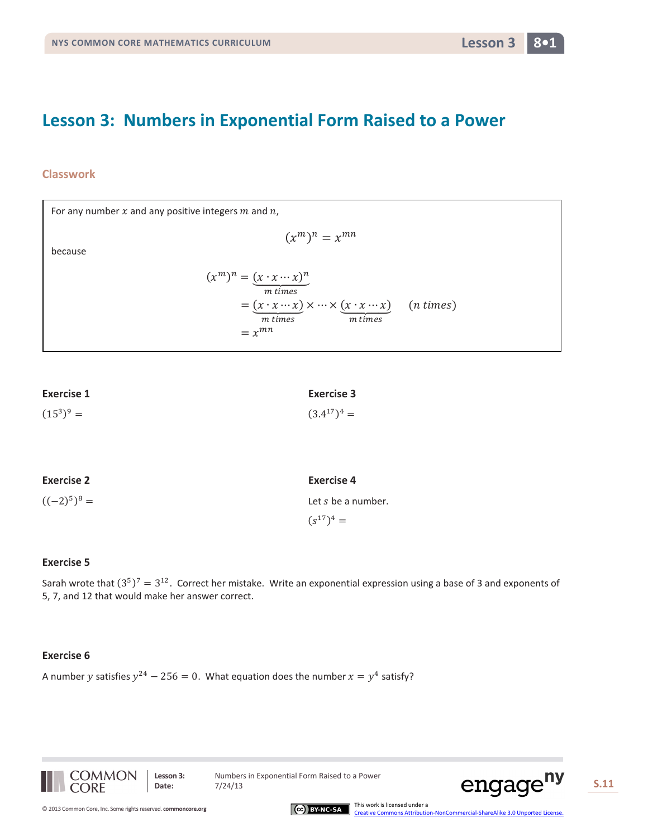## **Lesson 3: Numbers in Exponential Form Raised to a Power**

## **Classwork**

For any number  $x$  and any positive integers  $m$  and  $n$ ,

because

$$
(xm)n = (x \cdot x \cdots x)n
$$
  
=  $(x \cdot x \cdots x)$  x  $\cdots$  x  $(x \cdot x \cdots x)$  (n times)  
=  $x^{mn}$  (n times)

 $(x^m)^n = x^{mn}$ 

| <b>Exercise 1</b> | <b>Exercise 3</b> |
|-------------------|-------------------|
| $(15^3)^9 =$      | $(3.4^{17})^4 =$  |

| <b>Exercise 2</b> | <b>Exercise 4</b>  |
|-------------------|--------------------|
| $((-2)^5)^8 =$    | Let s be a number. |
|                   | $(s^{17})^4 =$     |

#### **Exercise 5**

Sarah wrote that  $(3^5)^7 = 3^{12}$ . Correct her mistake. Write an exponential expression using a base of 3 and exponents of 5, 7, and 12 that would make her answer correct.

#### **Exercise 6**

A number y satisfies  $y^{24} - 256 = 0$ . What equation does the number  $x = y^4$  satisfy?



Lesson 3: Numbers in Exponential Form Raised to a Power



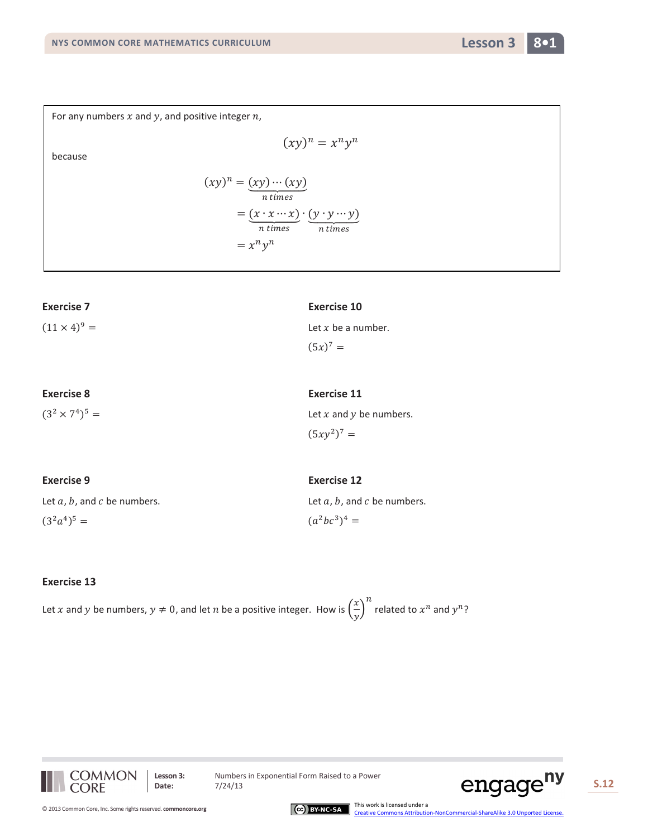For any numbers  $x$  and  $y$ , and positive integer  $n$ ,

because

$$
(xy)^n = (xy) \cdots (xy)
$$
  
= 
$$
\underbrace{(x \cdot x \cdots x)}_{n \text{ times}} \cdot \underbrace{(y \cdot y \cdots y)}_{n \text{ times}}
$$
  
= 
$$
x^n y^n
$$

 $(xy)^n = x^n y^n$ 

| <b>Exercise 7</b>   | <b>Exercise 10</b>   |
|---------------------|----------------------|
| $(11 \times 4)^9 =$ | Let $x$ be a number. |
|                     | $(5x)^7 =$           |
|                     |                      |
|                     |                      |

 $(3^2 \times 7^4)^5$  =

**Exercise 8**

**Exercise 9**

 $(3^2a^4)^5 =$ 

Let  $a$ ,  $b$ , and  $c$  be numbers.

**Exercise 12** Let  $a$ ,  $b$ , and  $c$  be numbers.  $(a^2bc^3)^4 =$ 

Let  $x$  and  $y$  be numbers.

**Exercise 11**

 $(5xy^2)^7 =$ 

### **Exercise 13**

Let x and y be numbers,  $y \neq 0$ , and let n be a positive integer. How is  $\left(\frac{x}{y}\right)$  $\frac{1}{y}$  $n$  related to  $x^n$  and  $y^n$ ?



Lesson 3: Numbers in Exponential Form Raised to a Power<br>Date:  $7/24/13$ 





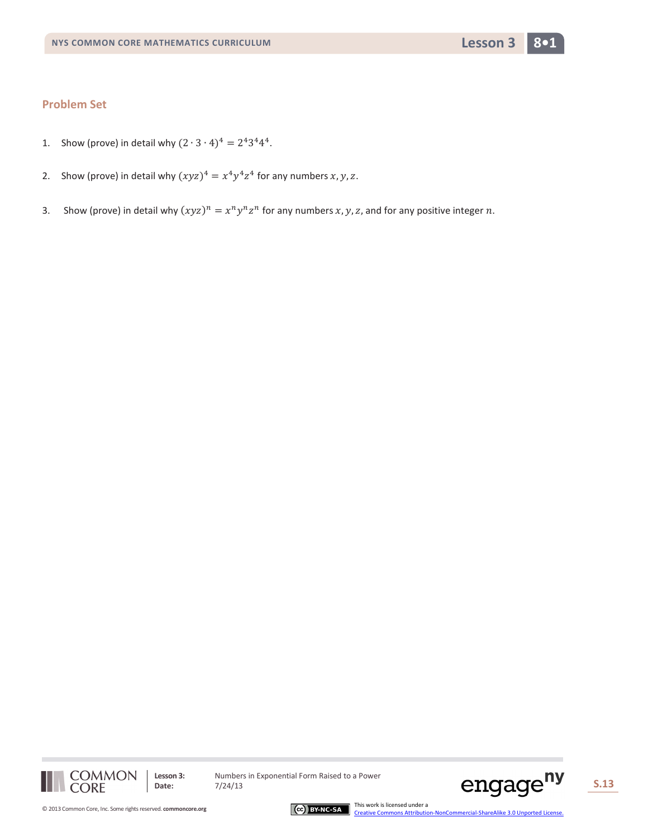

- 1. Show (prove) in detail why  $(2 \cdot 3 \cdot 4)^4 = 2^4 3^4 4^4$ .
- 2. Show (prove) in detail why  $(xyz)^4 = x^4y^4z^4$  for any numbers  $x, y, z$ .
- 3. Show (prove) in detail why  $(xyz)^n = x^n y^n z^n$  for any numbers x, y, z, and for any positive integer n.





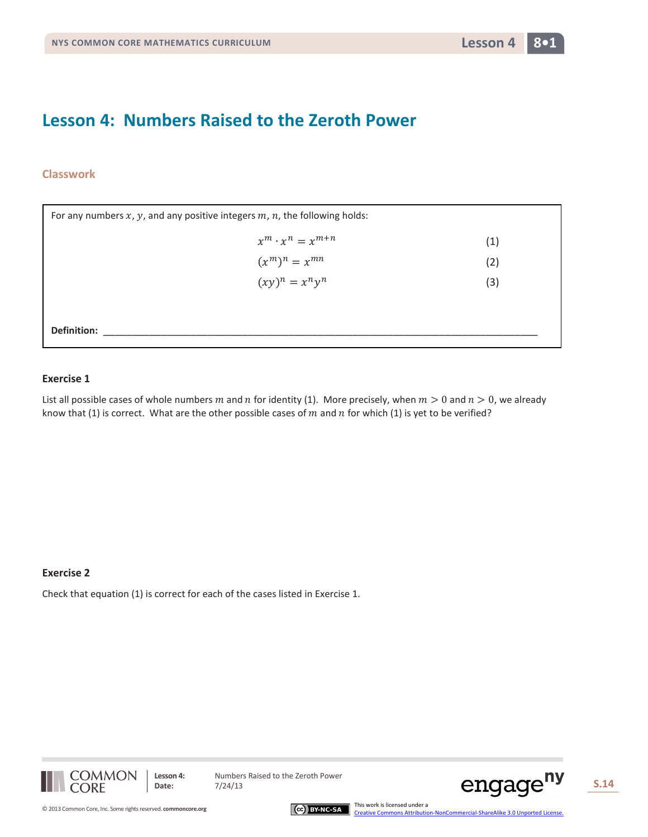## **Lesson 4: Numbers Raised to the Zeroth Power**

## **Classwork**

| For any numbers $x$ , $y$ , and any positive integers $m$ , $n$ , the following holds: |     |  |  |
|----------------------------------------------------------------------------------------|-----|--|--|
| $x^m \cdot x^n = x^{m+n}$                                                              | (1) |  |  |
| $(x^m)^n = x^{mn}$                                                                     | (2) |  |  |
| $(xy)^n = x^n y^n$                                                                     | (3) |  |  |
|                                                                                        |     |  |  |
| Definition:                                                                            |     |  |  |

### **Exercise 1**

List all possible cases of whole numbers m and n for identity (1). More precisely, when  $m > 0$  and  $n > 0$ , we already know that (1) is correct. What are the other possible cases of  $m$  and  $n$  for which (1) is yet to be verified?

## **Exercise 2**

Check that equation (1) is correct for each of the cases listed in Exercise 1.



**Lesson 4:** Numbers Raised to the Zeroth Power



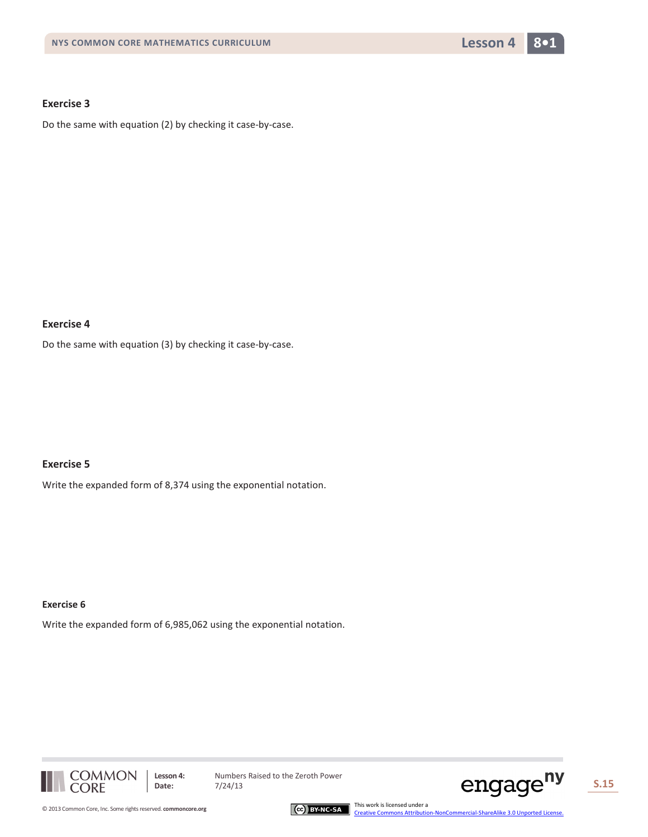

Do the same with equation (2) by checking it case-by-case.

### **Exercise 4**

Do the same with equation (3) by checking it case-by-case.

## **Exercise 5**

Write the expanded form of 8,374 using the exponential notation.

#### **Exercise 6**

Write the expanded form of 6,985,062 using the exponential notation.



Lesson 4: Numbers Raised to the Zeroth Power<br>Date: 7/24/13



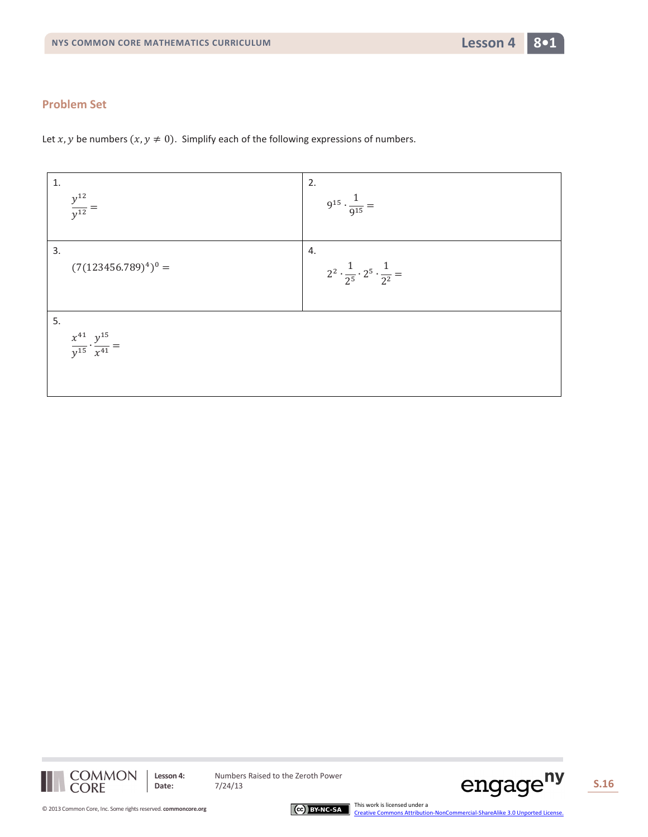

Let x, y be numbers  $(x, y \neq 0)$ . Simplify each of the following expressions of numbers.





**Lesson 4:** Numbers Raised to the Zeroth Power<br>Date:  $7/24/13$ 





[Creative Commons Attribution-NonCommercial-ShareAlike 3.0 Unported License.](http://creativecommons.org/licenses/by-nc-sa/3.0/deed.en_US)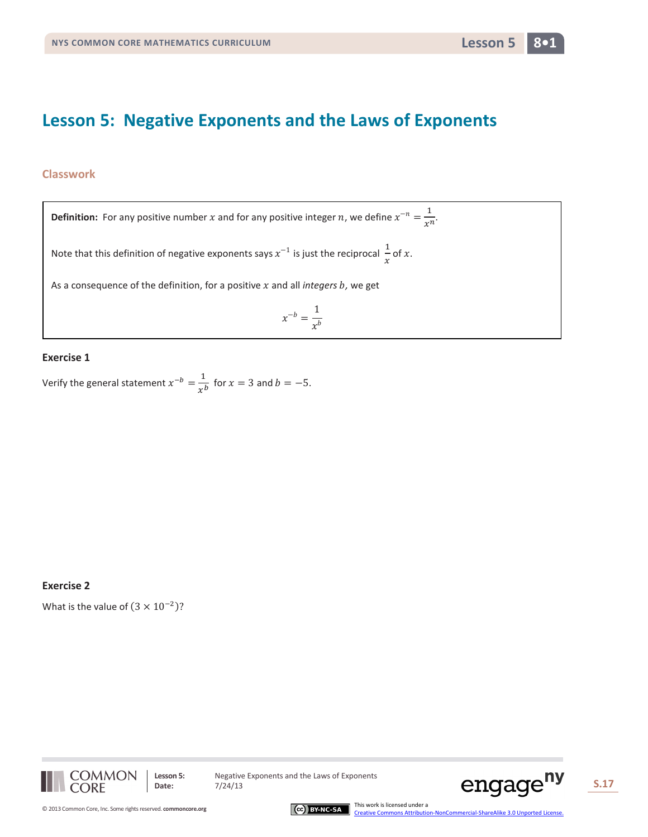## **Lesson 5: Negative Exponents and the Laws of Exponents**

## **Classwork**

 $x^{-b} = \frac{1}{x^b}$ **Definition:** For any positive number x and for any positive integer n, we define  $x^{-n} = \frac{1}{x^n}$ . Note that this definition of negative exponents says  $x^{-1}$  is just the reciprocal  $\frac{1}{x}$  of x. As a consequence of the definition, for a positive  $x$  and all *integers*  $b$ , we get

## **Exercise 1**

Verify the general statement  $x^{-b} = \frac{1}{x^b}$  for  $x = 3$  and  $b = -5$ .

#### **Exercise 2**

What is the value of  $(3 \times 10^{-2})$ ?



**Lesson 5:** Negative Exponents and the Laws of Exponents



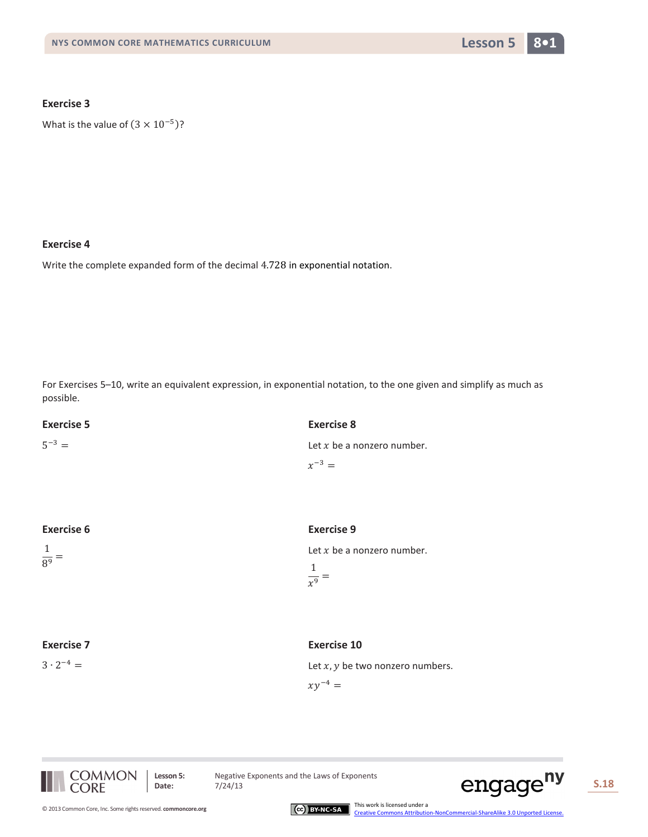

What is the value of  $(3 \times 10^{-5})$ ?

## **Exercise 4**

Write the complete expanded form of the decimal 4.728 in exponential notation.

For Exercises 5–10, write an equivalent expression, in exponential notation, to the one given and simplify as much as possible.

| <b>Exercise 5</b>   | <b>Exercise 8</b>            |
|---------------------|------------------------------|
| $5^{-3} =$          | Let $x$ be a nonzero number. |
|                     | $x^{-3} =$                   |
|                     |                              |
|                     |                              |
| <b>Exercise 6</b>   | <b>Exercise 9</b>            |
| $\mathbf{1}$        | Let $x$ be a nonzero number. |
| $\frac{1}{8^{9}}$ = | 1                            |
|                     | $\overline{x^9}$ =           |

## **Exercise 7**

 $3 \cdot 2^{-4} =$ 

#### **Exercise 10**

Let  $x, y$  be two nonzero numbers.

 $xy^{-4} =$ 



**Lesson 5:** Negative Exponents and the Laws of Exponents<br>Date:  $7/24/13$ 



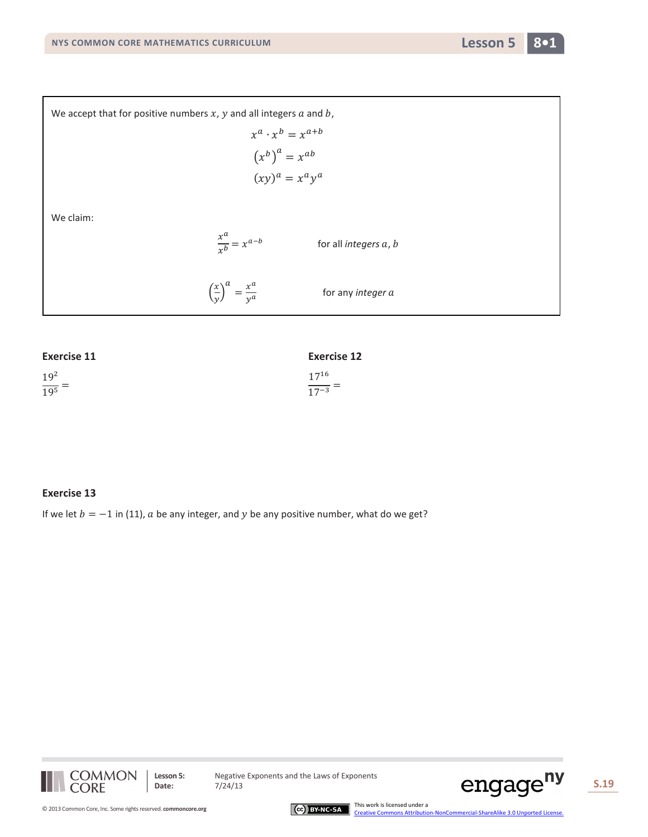

We accept that for positive numbers  $x$ ,  $y$  and all integers  $a$  and  $b$ ,  $x^a \cdot x^b = x^{a+b}$  $(x^b)^a = x^{ab}$  $(xy)^a = x^a y^a$ We claim:  $\frac{x^a}{x^b} = x^{a-b}$ for all *integers a*, *b*  $\left(\frac{x}{\nu}\right)$  $\frac{1}{y}$  $\frac{a}{y} = \frac{x^a}{y^a}$ for any *integer* 

| <b>Exercise 11</b> | <b>Exercise 12</b> |
|--------------------|--------------------|
| 19 <sup>2</sup>    | $17^{16}$          |
| $\frac{1}{19^5}$ = | $\frac{1}{17-3}$   |

## **Exercise 13**

If we let  $b = -1$  in (11),  $a$  be any integer, and  $y$  be any positive number, what do we get?



**Lesson 5:** Negative Exponents and the Laws of Exponents<br>Date:  $7/24/13$ 



[Creative Commons Attribution-NonCommercial-ShareAlike 3.0 Unported License.](http://creativecommons.org/licenses/by-nc-sa/3.0/deed.en_US)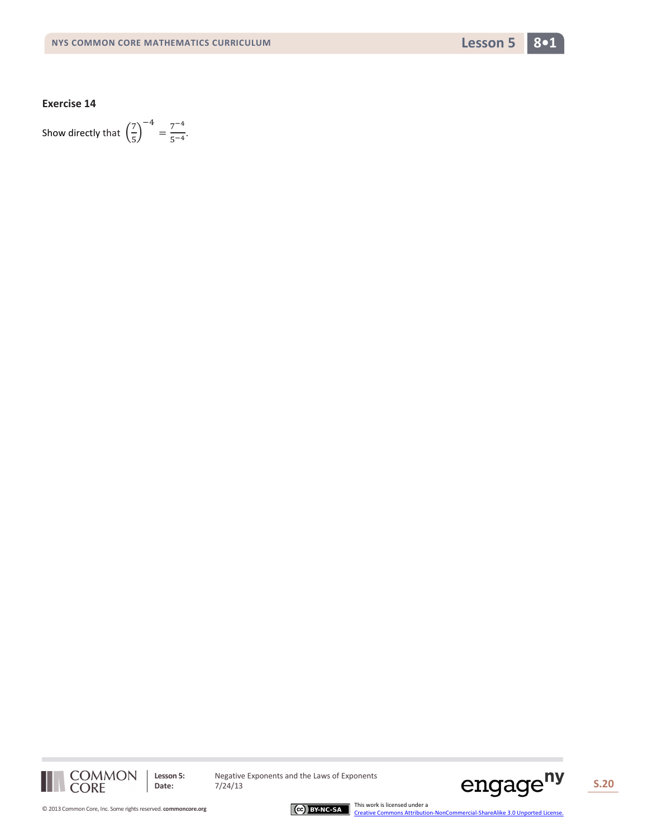

Show directly that  $\left(\frac{7}{5}\right)$  $\frac{1}{5}$  $\frac{-4}{5-4}$ .



Lesson 5: Negative Exponents and the Laws of Exponents<br>Date: 7/24/13





CCC BY-NC-SA Ins work is licensed under a<br>[Creative Commons Attribution-NonCommercial-ShareAlike 3.0 Unported License.](http://creativecommons.org/licenses/by-nc-sa/3.0/deed.en_US)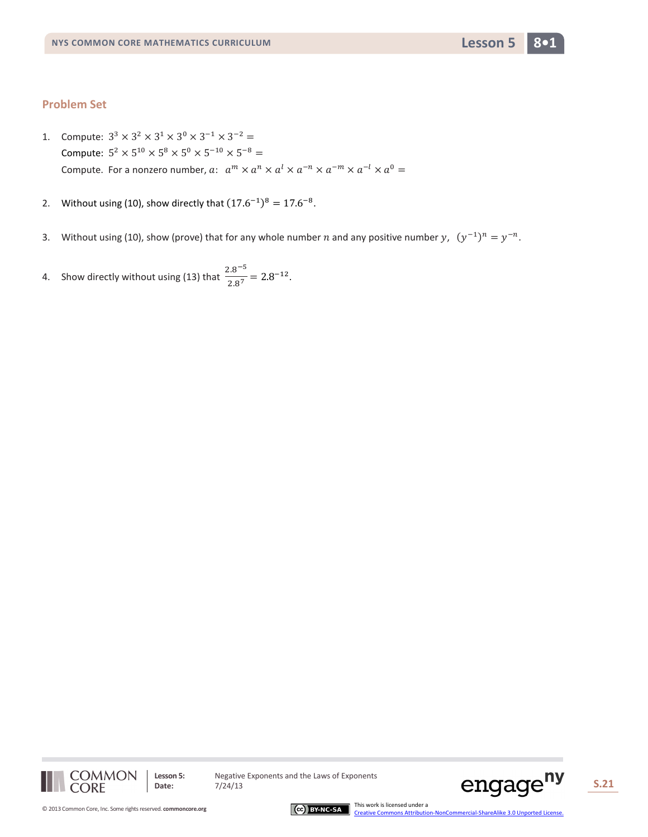- 1. Compute:  $3^3 \times 3^2 \times 3^1 \times 3^0 \times 3^{-1} \times 3^{-2} =$ Compute:  $5^2 \times 5^{10} \times 5^8 \times 5^0 \times 5^{-10} \times 5^{-8} =$ Compute. For a nonzero number,  $a: a^m \times a^n \times a^l \times a^{-m} \times a^{-m} \times a^{-l} \times a^0 =$
- 2. Without using (10), show directly that  $(17.6^{-1})^8 = 17.6^{-8}$ .
- 3. Without using (10), show (prove) that for any whole number *n* and any positive number *y*,  $(y^{-1})^n = y^{-n}$ .
- 4. Show directly without using (13) that  $\frac{2.8^{-5}}{2.8^{7}} = 2.8^{-12}$ .



Lesson 5: Negative Exponents and the Laws of Exponents<br>Date: 7/24/13



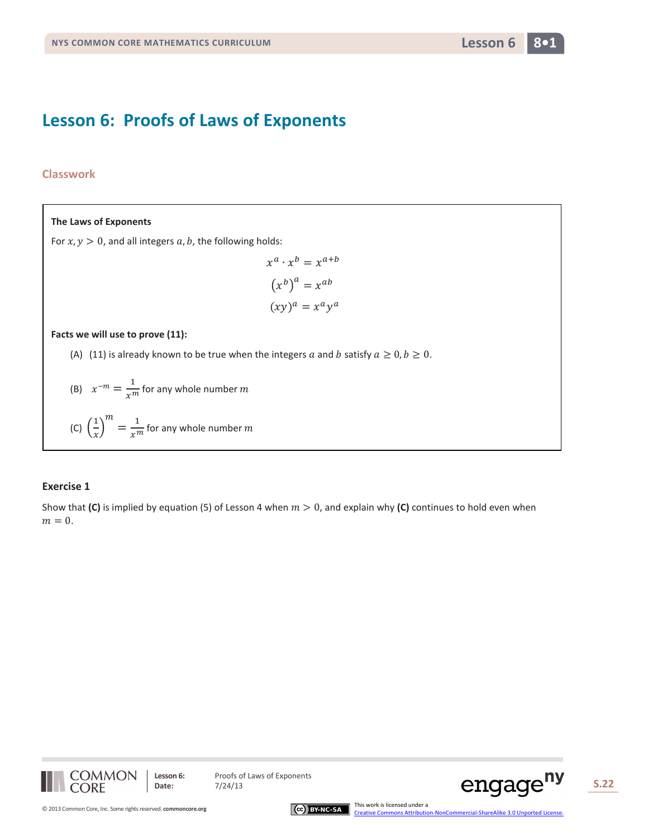## **Lesson 6: Proofs of Laws of Exponents**

## **Classwork**

## **The Laws of Exponents**

For  $x, y > 0$ , and all integers  $a, b$ , the following holds:

$$
x^{a} \cdot x^{b} = x^{a+b}
$$

$$
(x^{b})^{a} = x^{ab}
$$

$$
(xy)^{a} = x^{a}y^{a}
$$

#### **Facts we will use to prove (11):**

- (A) (11) is already known to be true when the integers a and b satisfy  $a \ge 0, b \ge 0$ .
- (B)  $x^{-m} = \frac{1}{x^m}$  for any whole number m
- (C)  $\left(\frac{1}{r}\right)$  $\frac{1}{x}$  $\frac{m}{m} = \frac{1}{x^m}$  for any whole number  $m$

## **Exercise 1**

Show that (C) is implied by equation (5) of Lesson 4 when  $m > 0$ , and explain why (C) continues to hold even when  $m = 0$ .







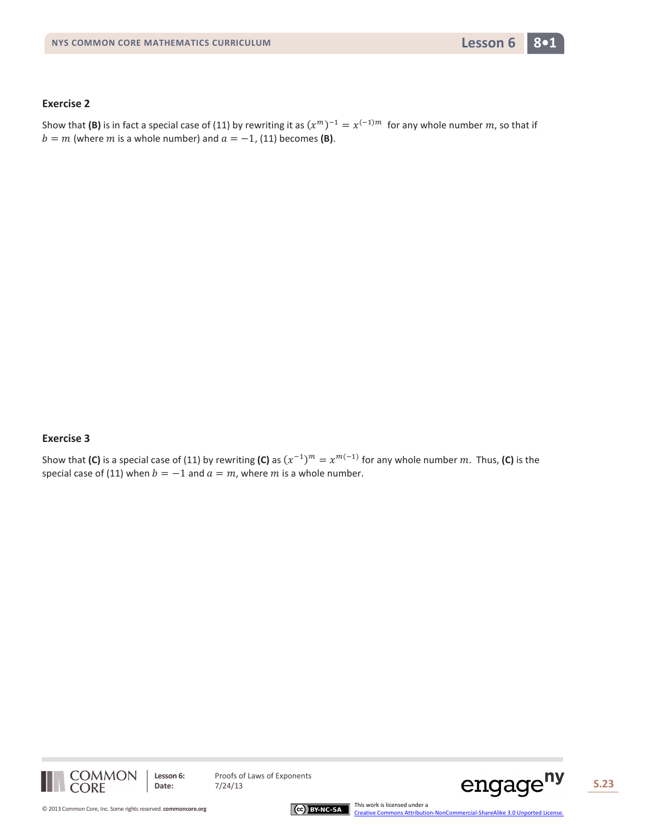

Show that **(B)** is in fact a special case of (11) by rewriting it as  $(x^m)^{-1} = x^{(-1)m}$  for any whole number m, so that if  $b = m$  (where *m* is a whole number) and  $a = -1$ , (11) becomes **(B)**.

## **Exercise 3**

Show that **(C)** is a special case of (11) by rewriting **(C)** as  $(x^{-1})^m = x^{m(-1)}$  for any whole number m. Thus, **(C)** is the special case of (11) when  $b = -1$  and  $a = m$ , where m is a whole number.



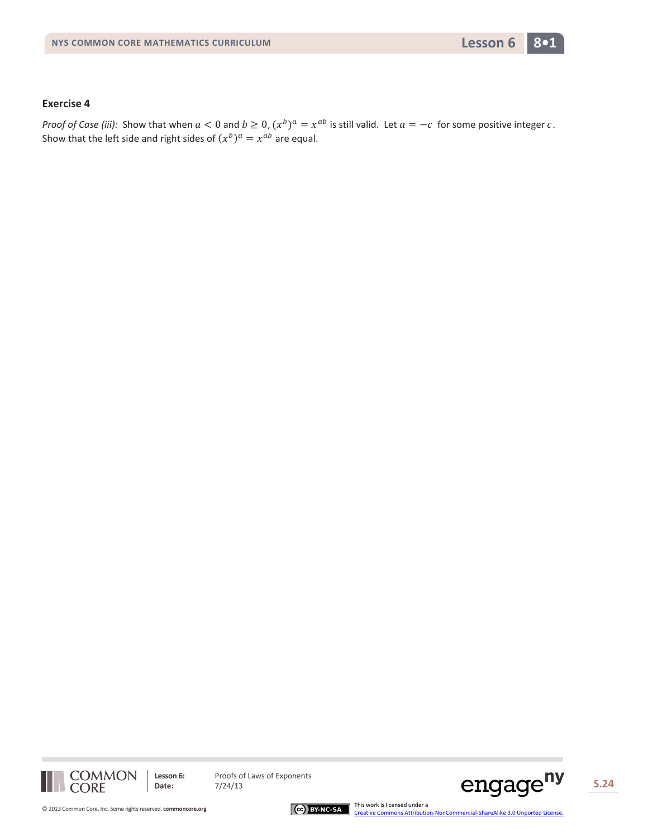

*Proof of Case (iii):* Show that when  $a < 0$  and  $b \ge 0$ ,  $(x^b)^a = x^{ab}$  is still valid. Let  $a = -c$  for some positive integer c. Show that the left side and right sides of  $(x^b)^a = x^{ab}$  are equal.



**Lesson 6:** Proofs of Laws of Exponents<br>Date: 7/24/13

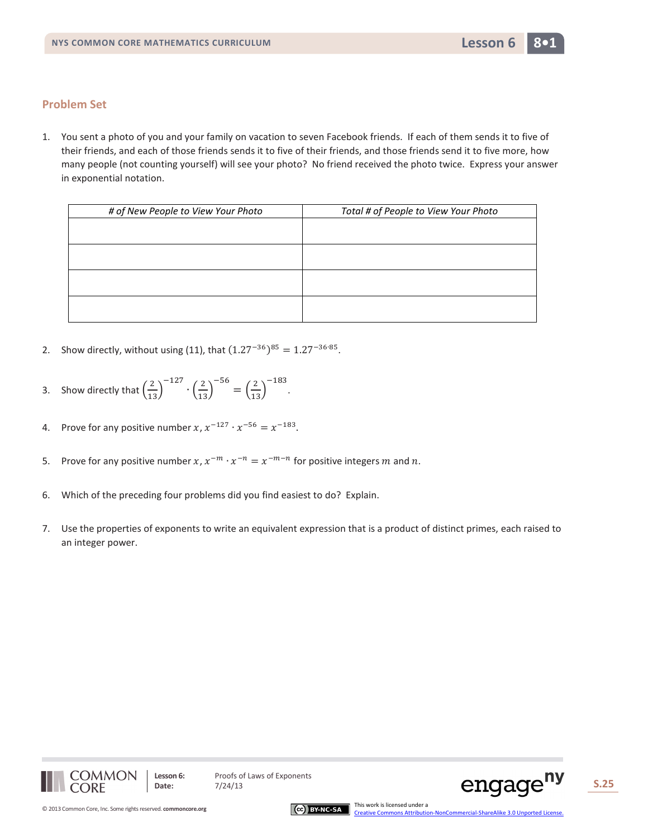1. You sent a photo of you and your family on vacation to seven Facebook friends. If each of them sends it to five of their friends, and each of those friends sends it to five of their friends, and those friends send it to five more, how many people (not counting yourself) will see your photo? No friend received the photo twice. Express your answer in exponential notation.

| # of New People to View Your Photo | Total # of People to View Your Photo |
|------------------------------------|--------------------------------------|
|                                    |                                      |
|                                    |                                      |
|                                    |                                      |
|                                    |                                      |
|                                    |                                      |
|                                    |                                      |
|                                    |                                      |
|                                    |                                      |

- 2. Show directly, without using (11), that  $(1.27^{-36})^{85} = 1.27^{-36 \cdot 85}$ .
- 3. Show directly that  $\left(\frac{2}{13}\right)$  $-\frac{127}{3} \cdot \left(\frac{2}{13}\right)$  $\binom{-56}{13}$ −183 .
- 4. Prove for any positive number  $x, x^{-127} \cdot x^{-56} = x^{-183}$ .
- 5. Prove for any positive number  $x, x^{-m} \cdot x^{-n} = x^{-m-n}$  for positive integers m and n.
- 6. Which of the preceding four problems did you find easiest to do? Explain.
- 7. Use the properties of exponents to write an equivalent expression that is a product of distinct primes, each raised to an integer power.







[Creative Commons Attribution-NonCommercial-ShareAlike 3.0 Unported License.](http://creativecommons.org/licenses/by-nc-sa/3.0/deed.en_US)

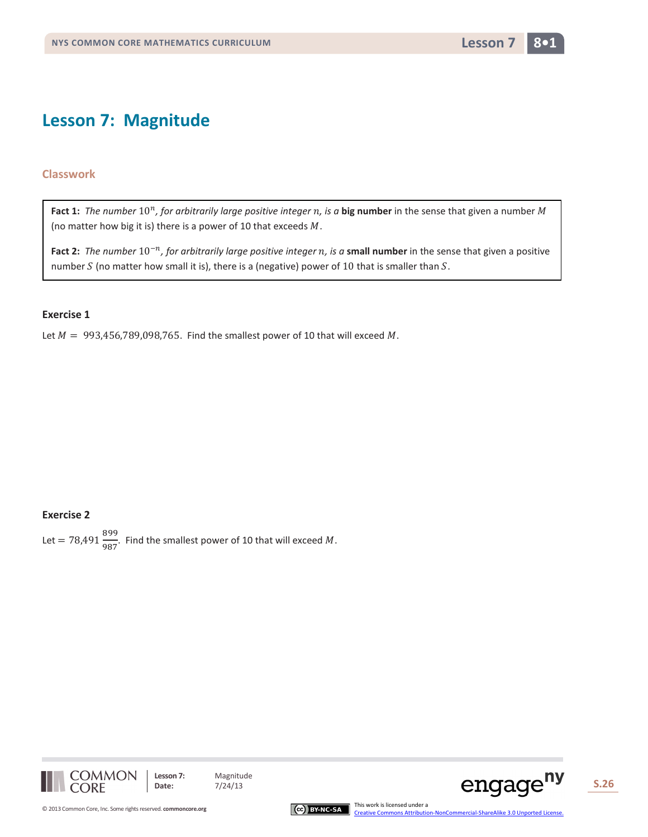## **Lesson 7: Magnitude**

## **Classwork**

Fact 1: The number 10<sup>n</sup>, for arbitrarily large positive integer n, is a big number in the sense that given a number M (no matter how big it is) there is a power of 10 that exceeds  $M$ .

**Fact 2:** *The number* 10−*, for arbitrarily large positive integer , is a* **small number** in the sense that given a positive number  $S$  (no matter how small it is), there is a (negative) power of 10 that is smaller than  $S$ .

#### **Exercise 1**

Let  $M = 993,456,789,098,765$ . Find the smallest power of 10 that will exceed M.

## **Exercise 2**

Let =  $78,491\frac{899}{987}$ . Find the smallest power of 10 that will exceed M.





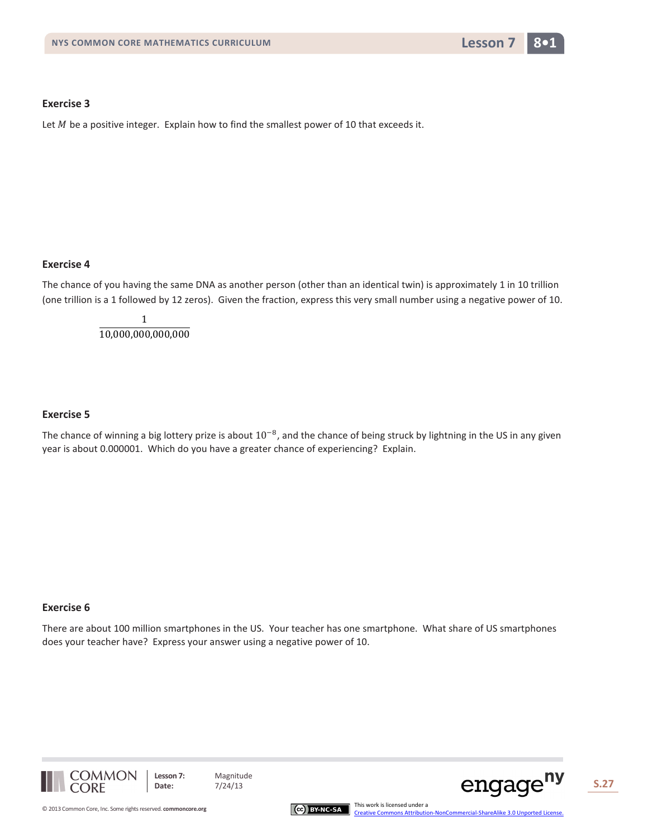

Let  $M$  be a positive integer. Explain how to find the smallest power of 10 that exceeds it.

## **Exercise 4**

The chance of you having the same DNA as another person (other than an identical twin) is approximately 1 in 10 trillion (one trillion is a 1 followed by 12 zeros). Given the fraction, express this very small number using a negative power of 10.

> 1 10,000,000,000,000

#### **Exercise 5**

The chance of winning a big lottery prize is about  $10^{-8}$ , and the chance of being struck by lightning in the US in any given year is about 0.000001. Which do you have a greater chance of experiencing? Explain.

#### **Exercise 6**

There are about 100 million smartphones in the US. Your teacher has one smartphone. What share of US smartphones does your teacher have? Express your answer using a negative power of 10.



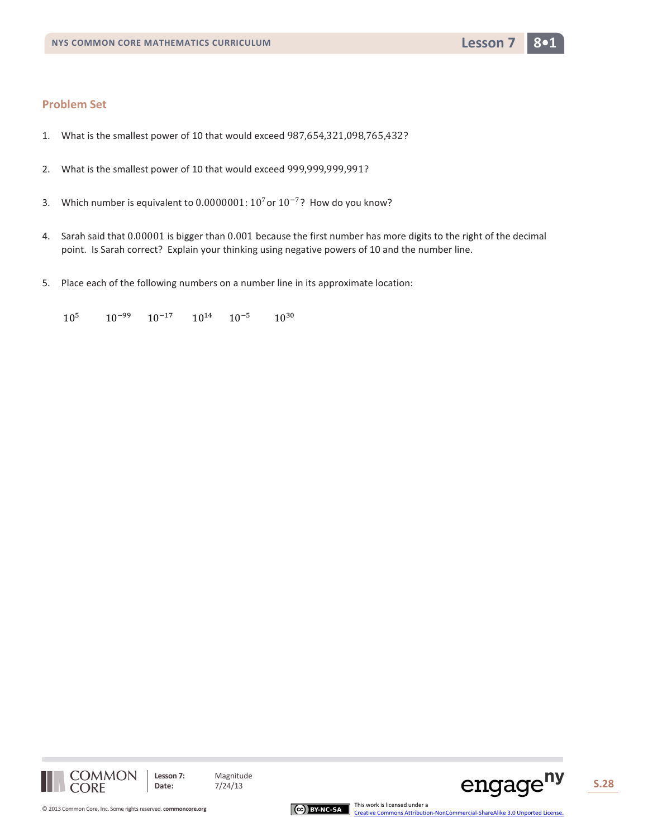- 1. What is the smallest power of 10 that would exceed 987,654,321,098,765,432?
- 2. What is the smallest power of 10 that would exceed 999,999,999,991?
- 3. Which number is equivalent to 0.0000001: 10<sup>7</sup> or 10<sup>-7</sup>? How do you know?
- 4. Sarah said that 0.00001 is bigger than 0.001 because the first number has more digits to the right of the decimal point. Is Sarah correct? Explain your thinking using negative powers of 10 and the number line.
- 5. Place each of the following numbers on a number line in its approximate location:

 $10^{5}$   $10^{-99}$   $10^{-17}$   $10^{14}$   $10^{-5}$   $10^{30}$ 





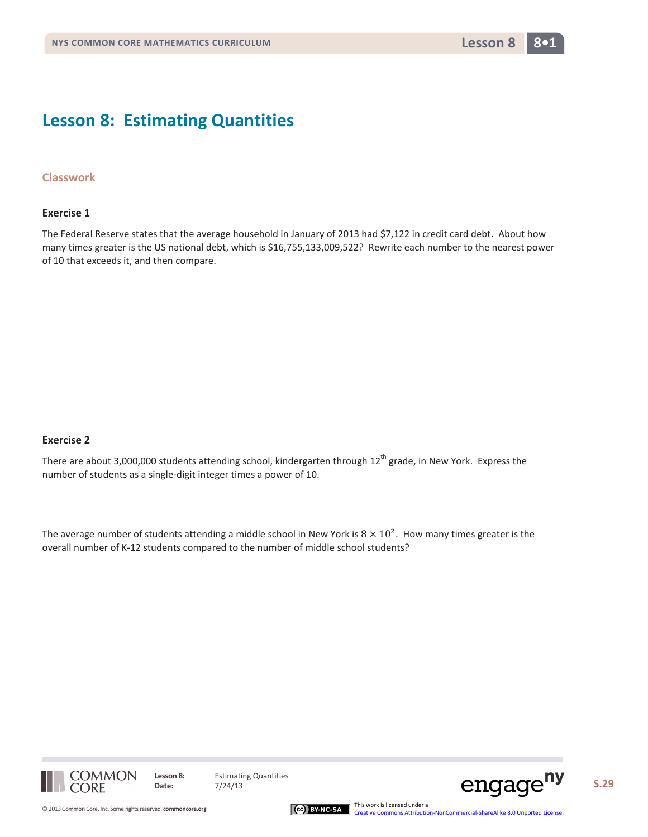## **Lesson 8: Estimating Quantities**

### **Classwork**

#### **Exercise 1**

The Federal Reserve states that the average household in January of 2013 had \$7,122 in credit card debt. About how many times greater is the US national debt, which is \$16,755,133,009,522? Rewrite each number to the nearest power of 10 that exceeds it, and then compare.

### **Exercise 2**

There are about 3,000,000 students attending school, kindergarten through  $12^{th}$  grade, in New York. Express the number of students as a single-digit integer times a power of 10.

The average number of students attending a middle school in New York is  $8 \times 10^2$ . How many times greater is the overall number of K-12 students compared to the number of middle school students?



**Lesson 8:** Estimating Quantities

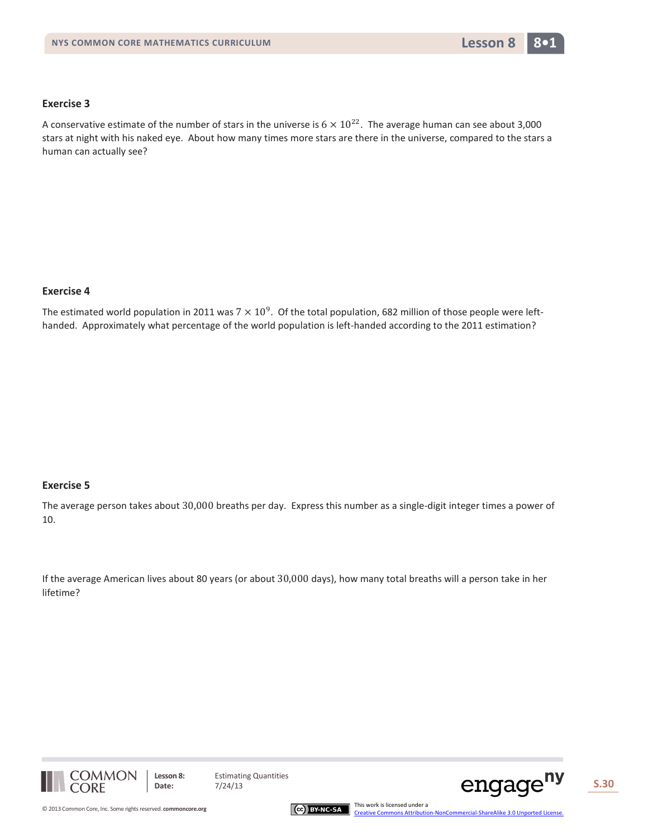A conservative estimate of the number of stars in the universe is  $6 \times 10^{22}$ . The average human can see about 3,000 stars at night with his naked eye. About how many times more stars are there in the universe, compared to the stars a human can actually see?

### **Exercise 4**

The estimated world population in 2011 was  $7 \times 10^9$ . Of the total population, 682 million of those people were lefthanded. Approximately what percentage of the world population is left-handed according to the 2011 estimation?

#### **Exercise 5**

The average person takes about 30,000 breaths per day. Express this number as a single-digit integer times a power of 10.

If the average American lives about 80 years (or about 30,000 days), how many total breaths will a person take in her lifetime?







[Creative Commons Attribution-NonCommercial-ShareAlike 3.0 Unported License.](http://creativecommons.org/licenses/by-nc-sa/3.0/deed.en_US)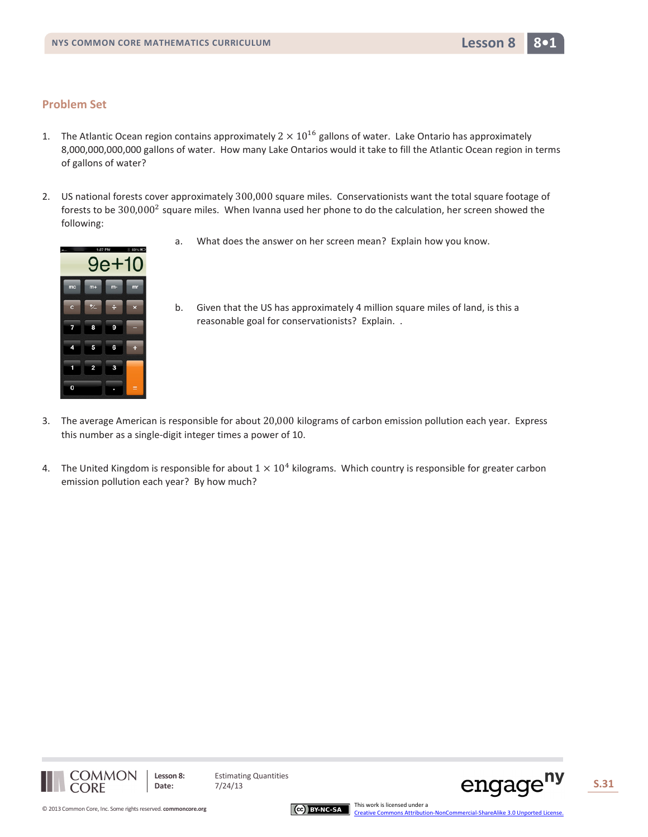- 1. The Atlantic Ocean region contains approximately  $2 \times 10^{16}$  gallons of water. Lake Ontario has approximately 8,000,000,000,000 gallons of water. How many Lake Ontarios would it take to fill the Atlantic Ocean region in terms of gallons of water?
- 2. US national forests cover approximately 300,000 square miles. Conservationists want the total square footage of forests to be  $300,000^2$  square miles. When Ivanna used her phone to do the calculation, her screen showed the following:

reasonable goal for conservationists? Explain. .





b. Given that the US has approximately 4 million square miles of land, is this a

- 3. The average American is responsible for about 20,000 kilograms of carbon emission pollution each year. Express this number as a single-digit integer times a power of 10.
- 4. The United Kingdom is responsible for about  $1 \times 10^4$  kilograms. Which country is responsible for greater carbon emission pollution each year? By how much?





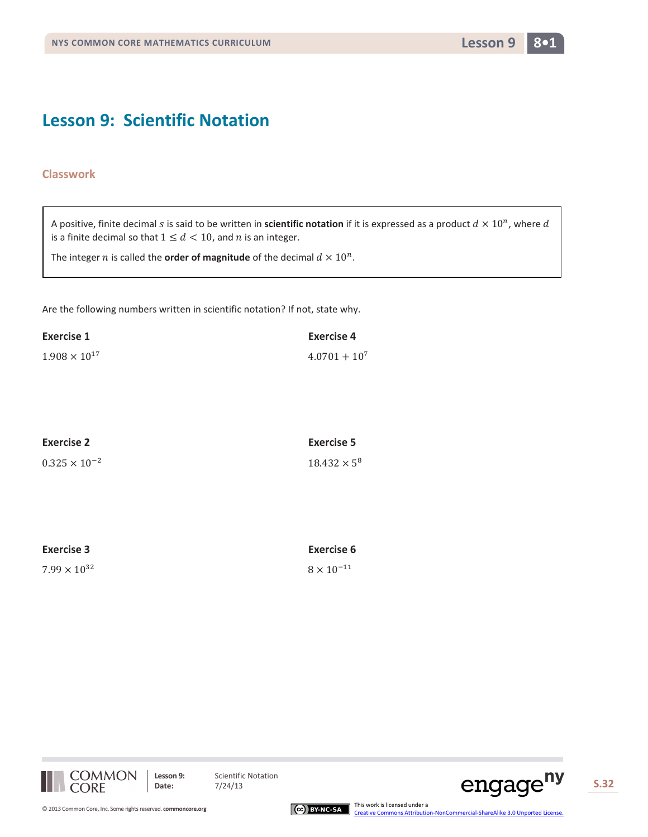## **Lesson 9: Scientific Notation**

## **Classwork**

A positive, finite decimal s is said to be written in **scientific notation** if it is expressed as a product  $d \times 10^n$ , where  $d$ is a finite decimal so that  $1 \leq d < 10$ , and *n* is an integer.

The integer *n* is called the **order of magnitude** of the decimal  $d \times 10^n$ .

Are the following numbers written in scientific notation? If not, state why.

| Exercise 1             | <b>Exercise 4</b> |
|------------------------|-------------------|
| $1.908 \times 10^{17}$ | $4.0701 + 10^{7}$ |

| <b>Exercise 2</b>      | Exercise 5          |
|------------------------|---------------------|
| $0.325 \times 10^{-2}$ | $18.432 \times 5^8$ |

| Exercise 3            | <b>Exercise 6</b>   |
|-----------------------|---------------------|
| $7.99 \times 10^{32}$ | $8 \times 10^{-11}$ |





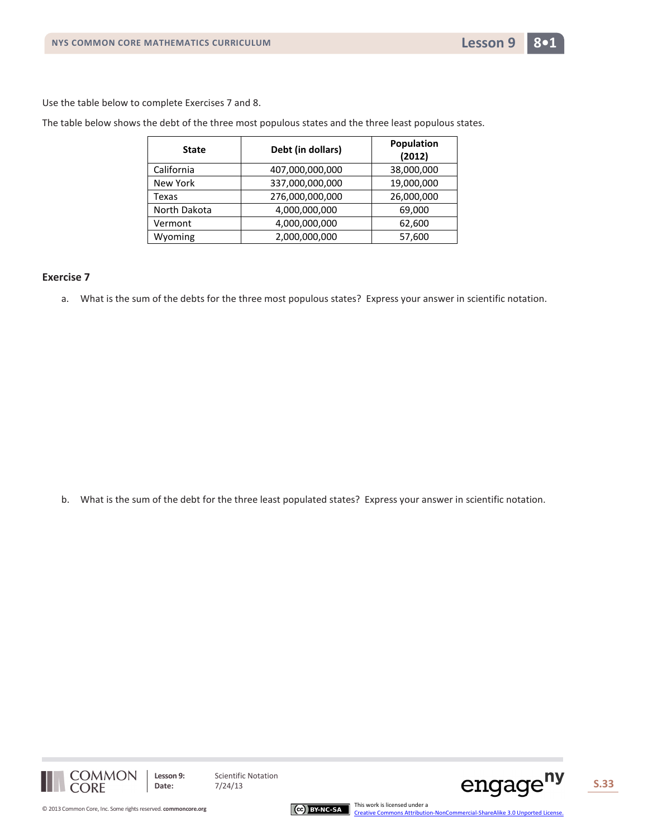

Use the table below to complete Exercises 7 and 8.

The table below shows the debt of the three most populous states and the three least populous states.

| <b>State</b> | Debt (in dollars) | Population<br>(2012) |
|--------------|-------------------|----------------------|
| California   | 407,000,000,000   | 38,000,000           |
| New York     | 337,000,000,000   | 19,000,000           |
| Texas        | 276,000,000,000   | 26,000,000           |
| North Dakota | 4,000,000,000     | 69,000               |
| Vermont      | 4,000,000,000     | 62,600               |
| Wyoming      | 2,000,000,000     | 57,600               |

#### **Exercise 7**

a. What is the sum of the debts for the three most populous states? Express your answer in scientific notation.

b. What is the sum of the debt for the three least populated states? Express your answer in scientific notation.





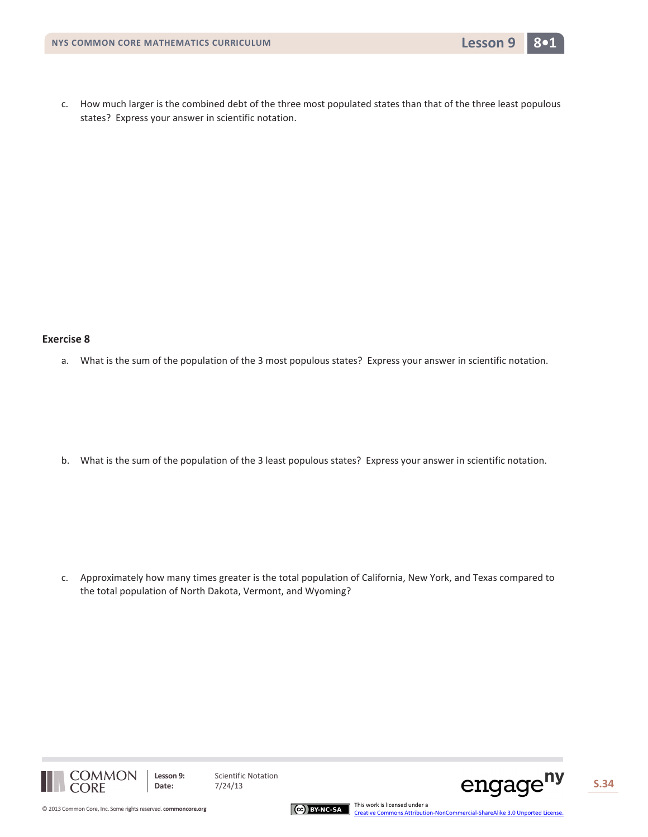c. How much larger is the combined debt of the three most populated states than that of the three least populous states? Express your answer in scientific notation.

#### **Exercise 8**

a. What is the sum of the population of the 3 most populous states? Express your answer in scientific notation.

b. What is the sum of the population of the 3 least populous states? Express your answer in scientific notation.

c. Approximately how many times greater is the total population of California, New York, and Texas compared to the total population of North Dakota, Vermont, and Wyoming?







[Creative Commons Attribution-NonCommercial-ShareAlike 3.0 Unported License.](http://creativecommons.org/licenses/by-nc-sa/3.0/deed.en_US)

© 2013 Common Core, Inc[. Some rights reserved.](http://creativecommons.org/licenses/by-nc-sa/3.0/deed.en_US) **commoncore.org** This work is licensed under a This work is licensed under a trajection Core, Inc. Some rights reserved. **commoncore.org** Common Core, Inc. Some rights reserve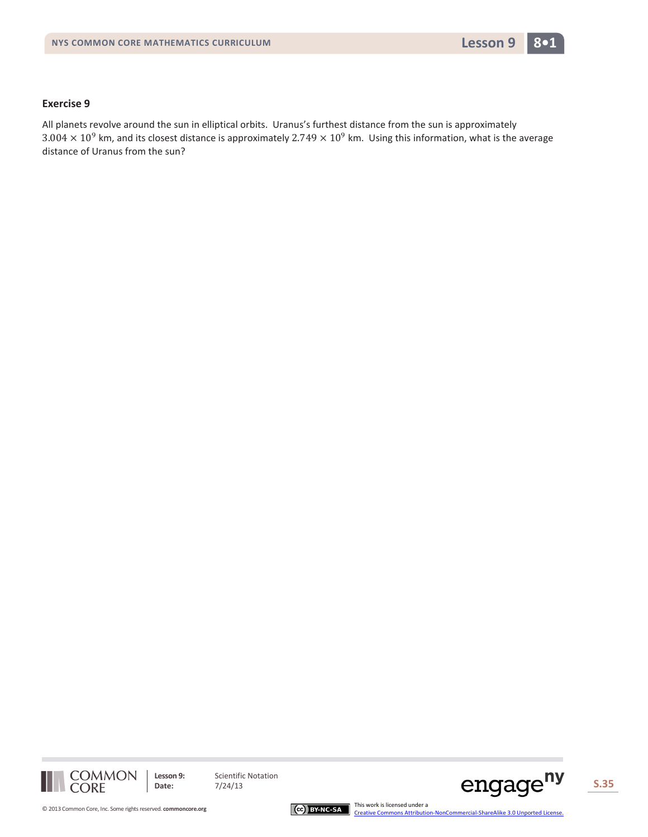

All planets revolve around the sun in elliptical orbits. Uranus's furthest distance from the sun is approximately  $3.004 \times 10^9$  km, and its closest distance is approximately  $2.749 \times 10^9$  km. Using this information, what is the average distance of Uranus from the sun?



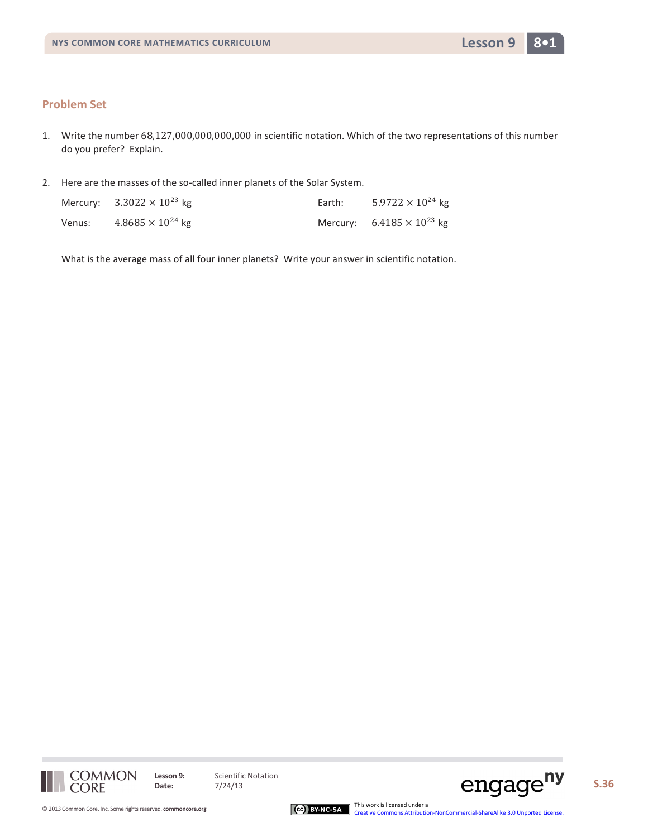- 1. Write the number 68,127,000,000,000,000 in scientific notation. Which of the two representations of this number do you prefer? Explain.
- 2. Here are the masses of the so-called inner planets of the Solar System.

|        | Mercury: $3.3022 \times 10^{23}$ kg | Earth: | $5.9722 \times 10^{24}$ kg          |
|--------|-------------------------------------|--------|-------------------------------------|
| Venus: | $4.8685 \times 10^{24}$ kg          |        | Mercury: $6.4185 \times 10^{23}$ kg |

What is the average mass of all four inner planets? Write your answer in scientific notation.





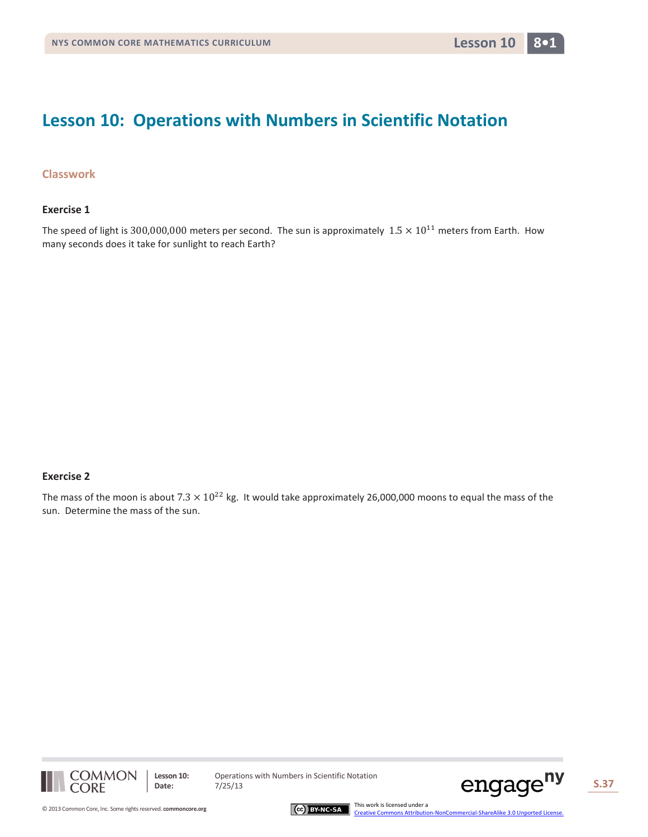## **Lesson 10: Operations with Numbers in Scientific Notation**

## **Classwork**

#### **Exercise 1**

The speed of light is 300,000,000 meters per second. The sun is approximately  $1.5 \times 10^{11}$  meters from Earth. How many seconds does it take for sunlight to reach Earth?

#### **Exercise 2**

The mass of the moon is about  $7.3 \times 10^{22}$  kg. It would take approximately 26,000,000 moons to equal the mass of the sun. Determine the mass of the sun.



**Lesson 10:** Operations with Numbers in Scientific Notation<br>Date:  $7/25/13$ 



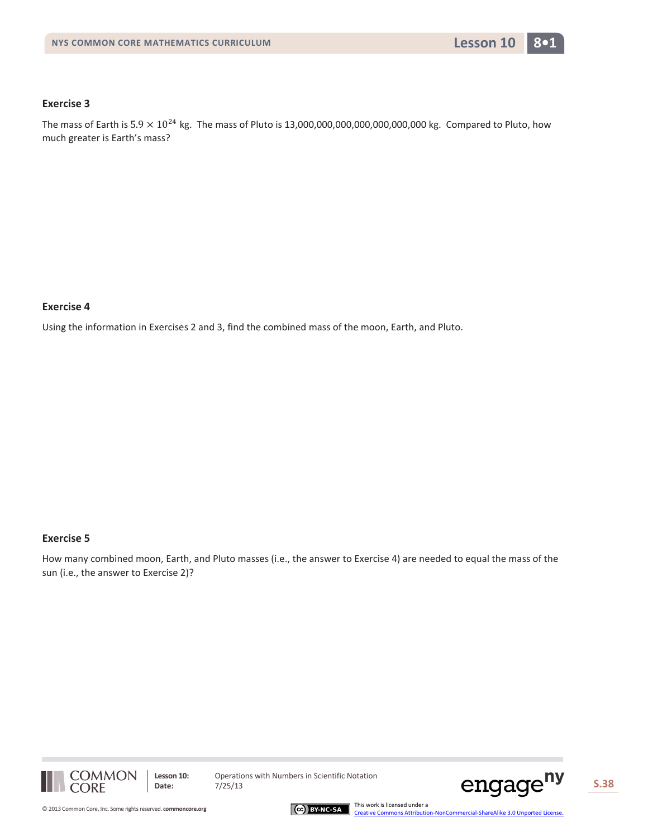The mass of Earth is  $5.9 \times 10^{24}$  kg. The mass of Pluto is 13,000,000,000,000,000,000,000 kg. Compared to Pluto, how much greater is Earth's mass?

### **Exercise 4**

Using the information in Exercises 2 and 3, find the combined mass of the moon, Earth, and Pluto.

#### **Exercise 5**

How many combined moon, Earth, and Pluto masses (i.e., the answer to Exercise 4) are needed to equal the mass of the sun (i.e., the answer to Exercise 2)?





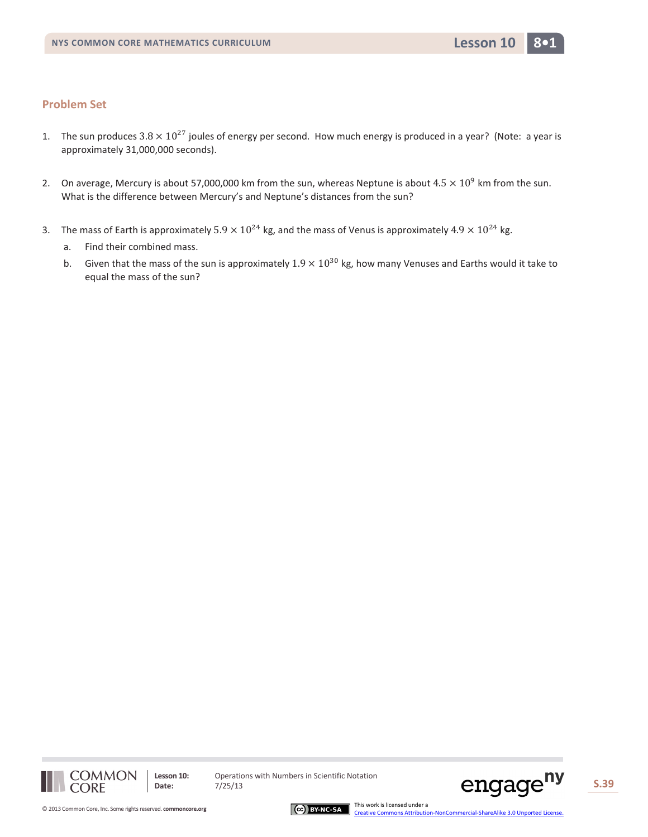- 1. The sun produces  $3.8 \times 10^{27}$  joules of energy per second. How much energy is produced in a year? (Note: a year is approximately 31,000,000 seconds).
- 2. On average, Mercury is about 57,000,000 km from the sun, whereas Neptune is about  $4.5 \times 10^9$  km from the sun. What is the difference between Mercury's and Neptune's distances from the sun?
- 3. The mass of Earth is approximately  $5.9 \times 10^{24}$  kg, and the mass of Venus is approximately  $4.9 \times 10^{24}$  kg.
	- a. Find their combined mass.
	- b. Given that the mass of the sun is approximately  $1.9 \times 10^{30}$  kg, how many Venuses and Earths would it take to equal the mass of the sun?



**Lesson 10:** Operations with Numbers in Scientific Notation<br>Date:  $7/25/13$ 



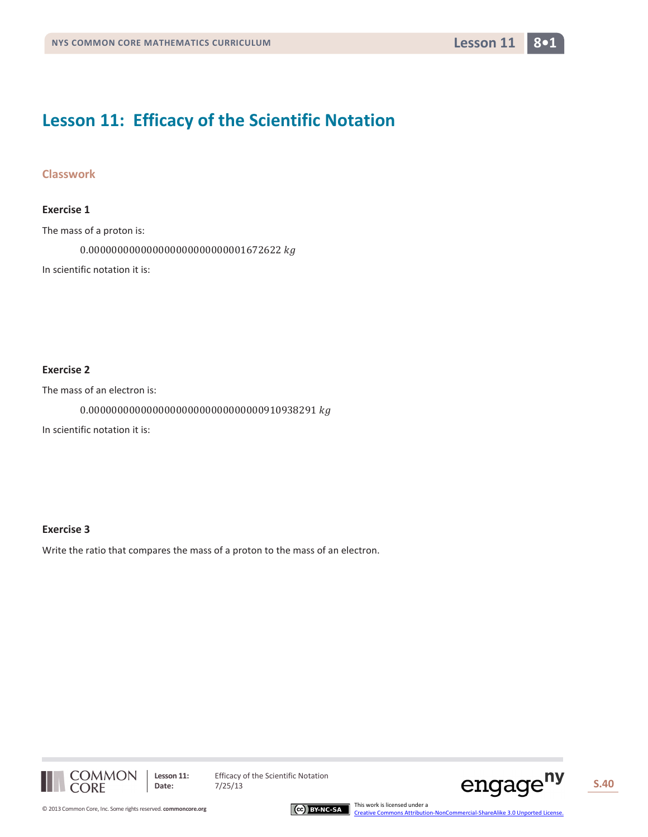## **Lesson 11: Efficacy of the Scientific Notation**

## **Classwork**

## **Exercise 1**

The mass of a proton is:

0.000000000000000000000000001672622

In scientific notation it is:

## **Exercise 2**

The mass of an electron is:

 $0.0000000000000000000000000000000910938291\ kg$ 

In scientific notation it is:

#### **Exercise 3**

Write the ratio that compares the mass of a proton to the mass of an electron.







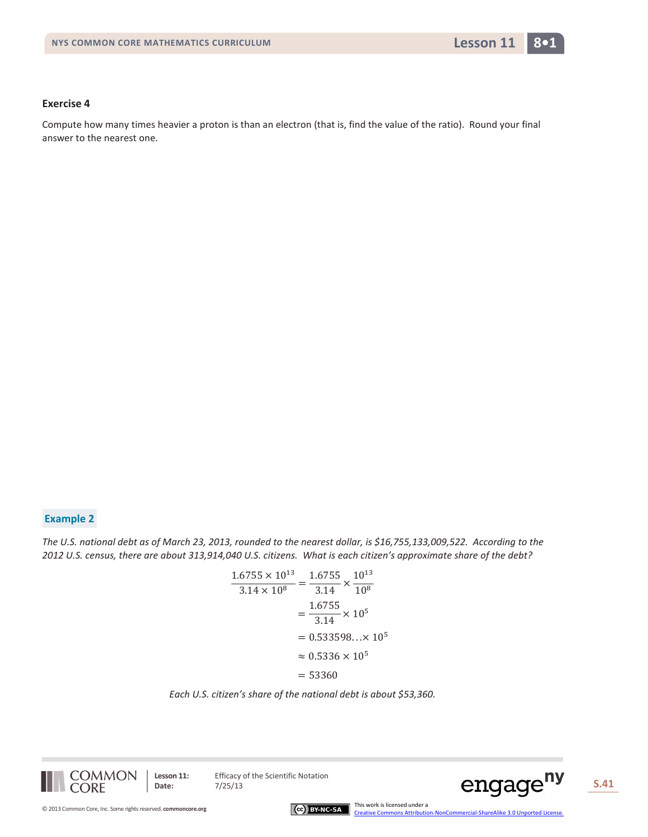Compute how many times heavier a proton is than an electron (that is, find the value of the ratio). Round your final answer to the nearest one.

## **Example 2**

*The U.S. national debt as of March 23, 2013, rounded to the nearest dollar, is \$16,755,133,009,522. According to the 2012 U.S. census, there are about 313,914,040 U.S. citizens. What is each citizen's approximate share of the debt?*

$$
\frac{1.6755 \times 10^{13}}{3.14 \times 10^8} = \frac{1.6755}{3.14} \times \frac{10^{13}}{10^8}
$$

$$
= \frac{1.6755}{3.14} \times 10^5
$$

$$
= 0.533598... \times 10^5
$$

$$
\approx 0.5336 \times 10^5
$$

$$
= 53360
$$

#### *Each U.S. citizen's share of the national debt is about \$53,360.*

**COMMON CORE** 

Lesson 11: Efficacy of the Scientific Notation



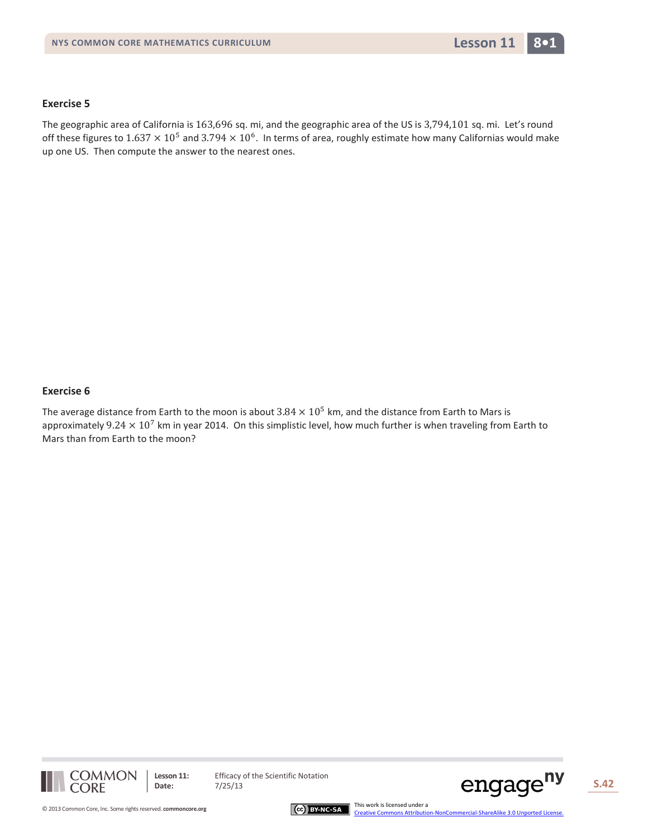The geographic area of California is 163,696 sq. mi, and the geographic area of the US is 3,794,101 sq. mi. Let's round off these figures to  $1.637 \times 10^5$  and  $3.794 \times 10^6$ . In terms of area, roughly estimate how many Californias would make up one US. Then compute the answer to the nearest ones.

### **Exercise 6**

The average distance from Earth to the moon is about  $3.84 \times 10^5$  km, and the distance from Earth to Mars is approximately  $9.24 \times 10^7$  km in year 2014. On this simplistic level, how much further is when traveling from Earth to Mars than from Earth to the moon?



Lesson 11: Efficacy of the Scientific Notation

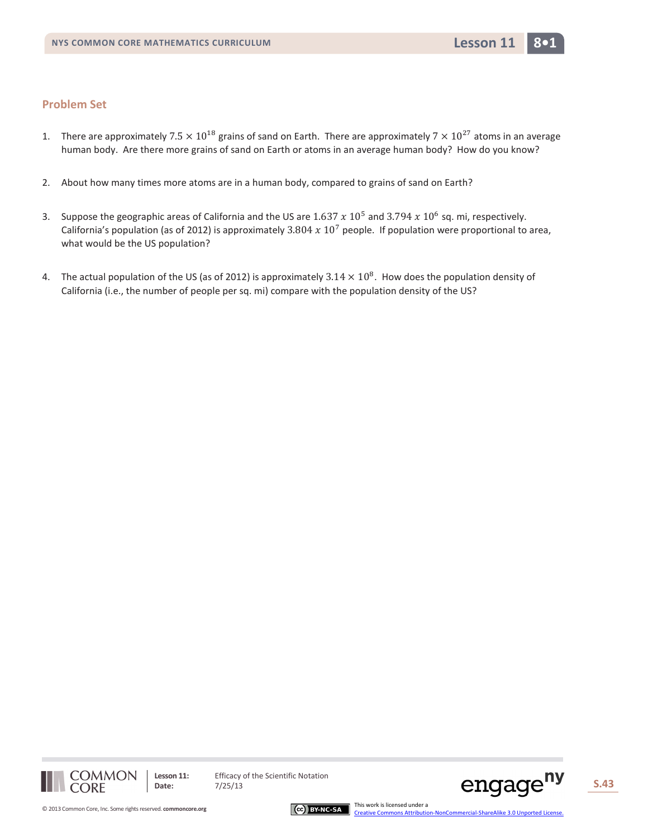- 1. There are approximately 7.5  $\times$  10<sup>18</sup> grains of sand on Earth. There are approximately 7  $\times$  10<sup>27</sup> atoms in an average human body. Are there more grains of sand on Earth or atoms in an average human body? How do you know?
- 2. About how many times more atoms are in a human body, compared to grains of sand on Earth?
- 3. Suppose the geographic areas of California and the US are  $1.637 \times 10^5$  and  $3.794 \times 10^6$  sq. mi, respectively. California's population (as of 2012) is approximately 3.804  $x$  10<sup>7</sup> people. If population were proportional to area, what would be the US population?
- 4. The actual population of the US (as of 2012) is approximately  $3.14 \times 10^8$ . How does the population density of California (i.e., the number of people per sq. mi) compare with the population density of the US?





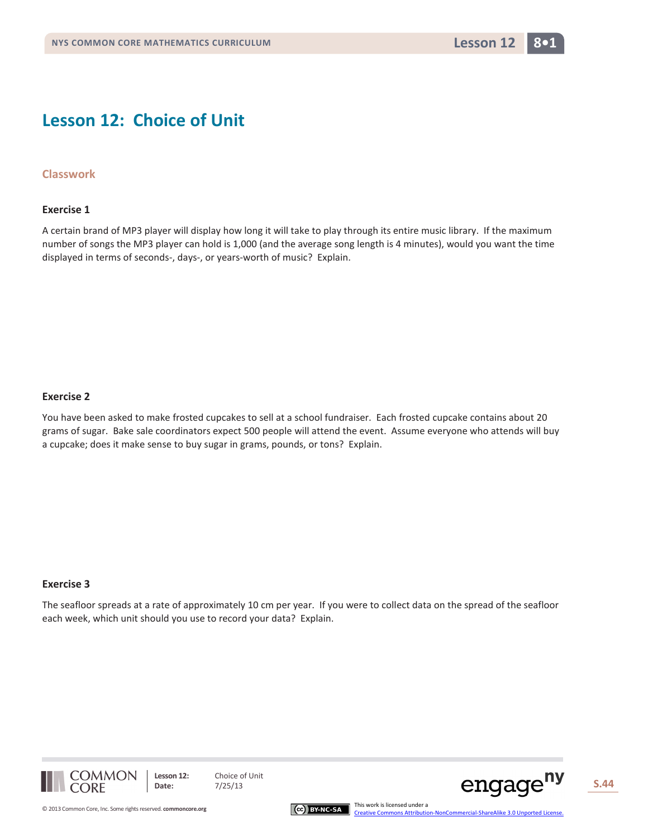## **Lesson 12: Choice of Unit**

## **Classwork**

#### **Exercise 1**

A certain brand of MP3 player will display how long it will take to play through its entire music library. If the maximum number of songs the MP3 player can hold is 1,000 (and the average song length is 4 minutes), would you want the time displayed in terms of seconds-, days-, or years-worth of music? Explain.

#### **Exercise 2**

You have been asked to make frosted cupcakes to sell at a school fundraiser. Each frosted cupcake contains about 20 grams of sugar. Bake sale coordinators expect 500 people will attend the event. Assume everyone who attends will buy a cupcake; does it make sense to buy sugar in grams, pounds, or tons? Explain.

#### **Exercise 3**

The seafloor spreads at a rate of approximately 10 cm per year. If you were to collect data on the spread of the seafloor each week, which unit should you use to record your data? Explain.





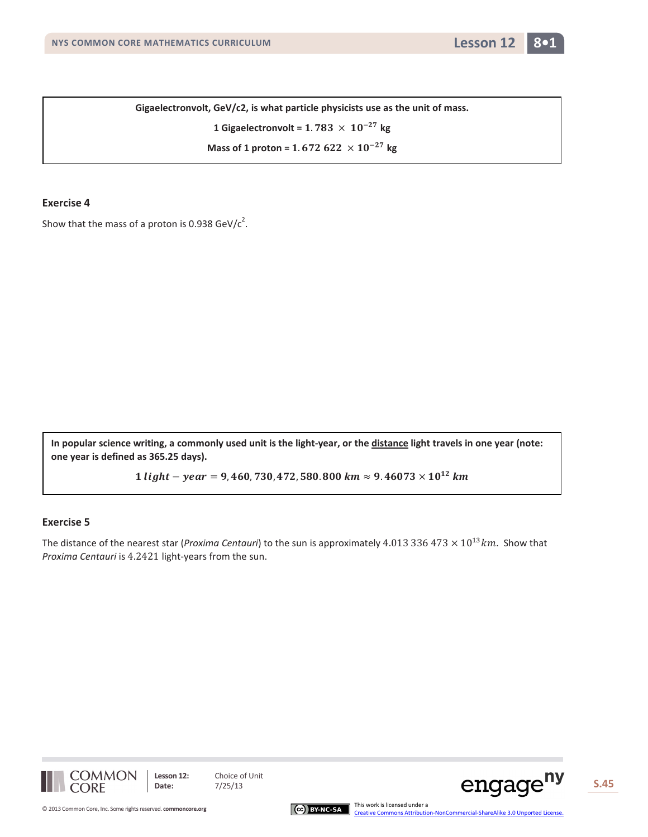

**Gigaelectronvolt, GeV/c2, is what particle physicists use as the unit of mass.**

1 Giga  
electronvolt = 1.783 
$$
\times
$$
 10<sup>-27</sup> kg

**Mass of 1 proton =**  $1.672622 \times 10^{-27}$  **kg** 

#### **Exercise 4**

Show that the mass of a proton is 0.938 GeV/ $c^2$ .

**In popular science writing, a commonly used unit is the light-year, or the distance light travels in one year (note: one year is defined as 365.25 days).**

 $1 light - year = 9,460,730,472,580.800 km \approx 9.46073 \times 10^{12} km$ 

#### **Exercise 5**

The distance of the nearest star (*Proxima Centauri*) to the sun is approximately 4.013 336 473  $\times$  10<sup>13</sup> km. Show that *Proxima Centauri* is 4.2421 light-years from the sun.



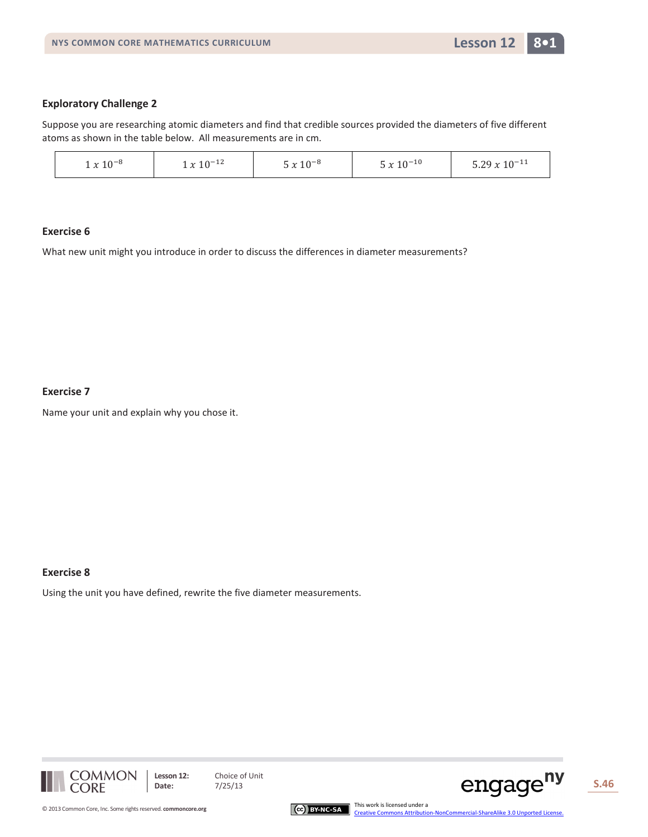## **Exploratory Challenge 2**

Suppose you are researching atomic diameters and find that credible sources provided the diameters of five different atoms as shown in the table below. All measurements are in cm.

| $x 10^{-12}$<br>$n-10$<br>$x 10^{-11}$<br>$1 x 10^{-8}$<br>$-20y$<br>. $\wedge$ - $\rightarrow$<br>1.4.10<br>1 v TA<br>ر ہے.ر |  |
|-------------------------------------------------------------------------------------------------------------------------------|--|
|-------------------------------------------------------------------------------------------------------------------------------|--|

#### **Exercise 6**

What new unit might you introduce in order to discuss the differences in diameter measurements?

#### **Exercise 7**

Name your unit and explain why you chose it.

#### **Exercise 8**

Using the unit you have defined, rewrite the five diameter measurements.





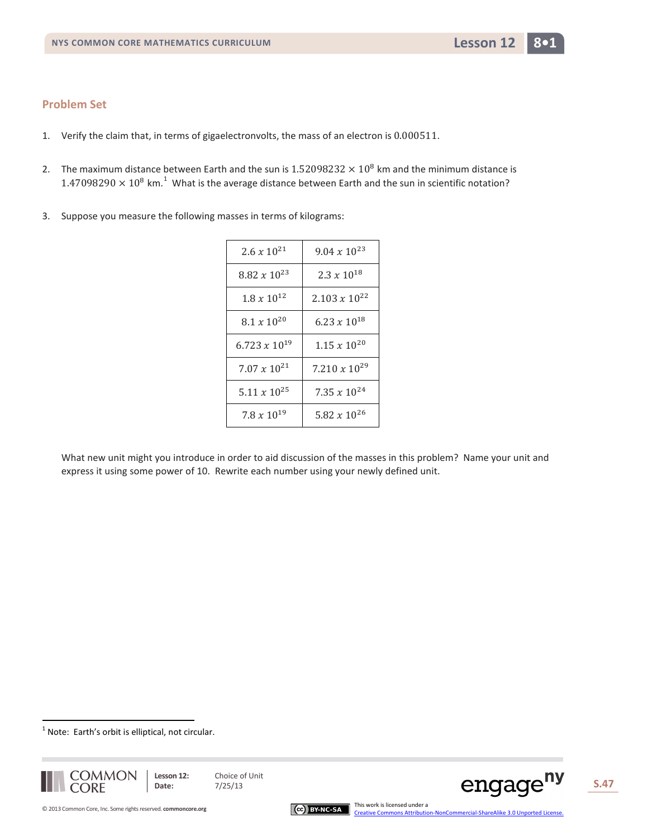- 1. Verify the claim that, in terms of gigaelectronvolts, the mass of an electron is 0.000511.
- 2. The maximum distance between Earth and the sun is  $1.52098232 \times 10^8$  km and the minimum distance is  $1.47098290 \times 10^8$  $1.47098290 \times 10^8$  km.<sup>1</sup> What is the average distance between Earth and the sun in scientific notation?
- 3. Suppose you measure the following masses in terms of kilograms:

| $2.6 x 10^{21}$        | $9.04 \times 10^{23}$     |
|------------------------|---------------------------|
| $8.82 \times 10^{23}$  | $2.3 x 10^{18}$           |
| $1.8 x 10^{12}$        | $2.103 \times 10^{22}$    |
| $8.1 x 10^{20}$        | 6.23 $x$ 10 <sup>18</sup> |
| $6.723 \times 10^{19}$ | $1.15 x 10^{20}$          |
| $7.07 \times 10^{21}$  | 7.210 $x$ $10^{29}$       |
| $5.11 \times 10^{25}$  | 7.35 $x$ $10^{24}$        |
| $7.8 x 10^{19}$        | 5.82 $x$ 10 <sup>26</sup> |

What new unit might you introduce in order to aid discussion of the masses in this problem? Name your unit and express it using some power of 10. Rewrite each number using your newly defined unit.

<span id="page-46-0"></span> $1$  Note: Earth's orbit is elliptical, not circular.



 $\overline{a}$ 



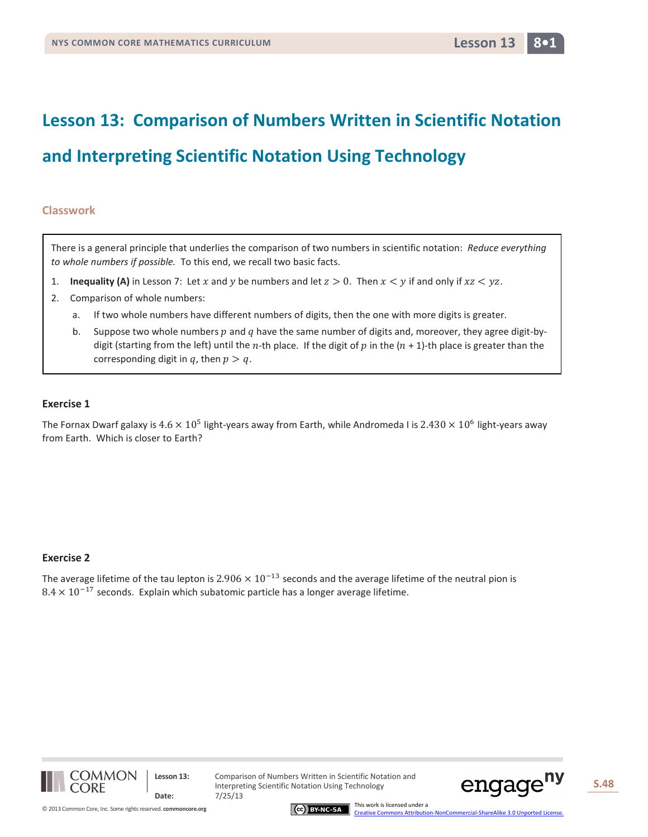## **Lesson 13: Comparison of Numbers Written in Scientific Notation**

## **and Interpreting Scientific Notation Using Technology**

### **Classwork**

There is a general principle that underlies the comparison of two numbers in scientific notation: *Reduce everything to whole numbers if possible.* To this end, we recall two basic facts.

- 1. **Inequality (A)** in Lesson 7: Let x and y be numbers and let  $z > 0$ . Then  $x < y$  if and only if  $xz < yz$ .
- 2. Comparison of whole numbers:
	- a. If two whole numbers have different numbers of digits, then the one with more digits is greater.
	- b. Suppose two whole numbers  $p$  and  $q$  have the same number of digits and, moreover, they agree digit-bydigit (starting from the left) until the n-th place. If the digit of p in the  $(n + 1)$ -th place is greater than the corresponding digit in q, then  $p > q$ .

### **Exercise 1**

The Fornax Dwarf galaxy is  $4.6 \times 10^5$  light-years away from Earth, while Andromeda I is  $2.430 \times 10^6$  light-years away from Earth. Which is closer to Earth?

#### **Exercise 2**

The average lifetime of the tau lepton is 2.906  $\times$  10<sup>-13</sup> seconds and the average lifetime of the neutral pion is  $8.4 \times 10^{-17}$  seconds. Explain which subatomic particle has a longer average lifetime.



**Lesson 13:** Comparison of Numbers Written in Scientific Notation and Interpreting Scientific Notation Using Technology



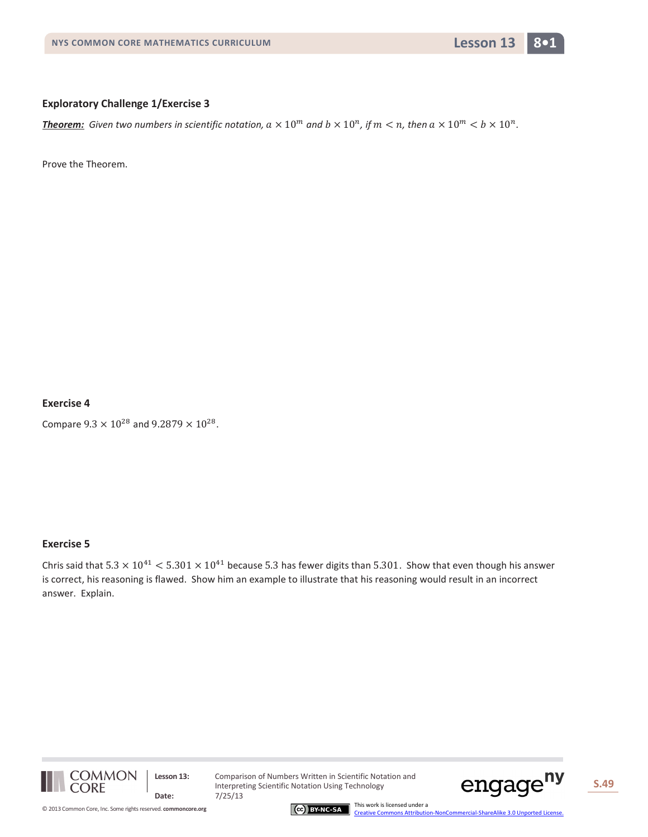## **Exploratory Challenge 1/Exercise 3**

*Theorem:* Given two numbers in scientific notation,  $a \times 10^m$  and  $b \times 10^n$ , if  $m < n$ , then  $a \times 10^m < b \times 10^n$ .

Prove the Theorem.

## **Exercise 4**

Compare  $9.3 \times 10^{28}$  and  $9.2879 \times 10^{28}$ .

#### **Exercise 5**

Chris said that  $5.3 \times 10^{41}$  <  $5.301 \times 10^{41}$  because 5.3 has fewer digits than 5.301. Show that even though his answer is correct, his reasoning is flawed. Show him an example to illustrate that his reasoning would result in an incorrect answer. Explain.



**Lesson 13:** Comparison of Numbers Written in Scientific Notation and Interpreting Scientific Notation Using Technology



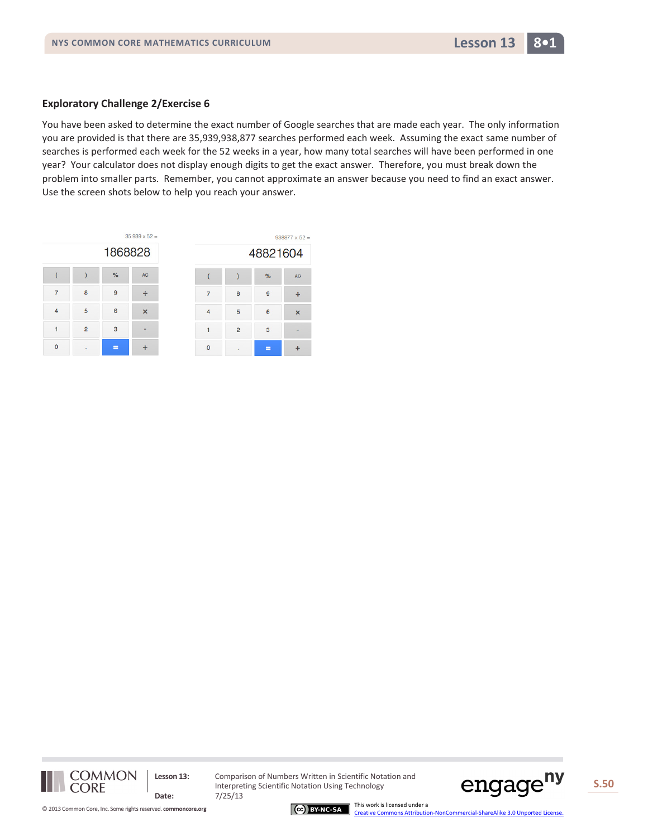### **Exploratory Challenge 2/Exercise 6**

You have been asked to determine the exact number of Google searches that are made each year. The only information you are provided is that there are 35,939,938,877 searches performed each week. Assuming the exact same number of searches is performed each week for the 52 weeks in a year, how many total searches will have been performed in one year? Your calculator does not display enough digits to get the exact answer. Therefore, you must break down the problem into smaller parts. Remember, you cannot approximate an answer because you need to find an exact answer. Use the screen shots below to help you reach your answer.

|          |                |         | $35939 \times 52 =$ |  |   |
|----------|----------------|---------|---------------------|--|---|
|          |                | 1868828 |                     |  |   |
|          |                | %       | <b>AC</b>           |  |   |
|          | 8              | 9       | ÷                   |  | ٤ |
| $\Delta$ | 5              | 6       | ×                   |  | ŧ |
|          | $\overline{2}$ | 3       |                     |  | ź |
| $\Omega$ |                | ▬       |                     |  | ł |

|          | $938877 \times 52 =$ |               |           |
|----------|----------------------|---------------|-----------|
| 48821604 |                      |               |           |
|          |                      | $\frac{9}{6}$ | <b>AC</b> |
|          | 8                    | 9             |           |
| л        | 5                    | 6             | ×         |
|          | $\overline{2}$       | 3             |           |
|          |                      |               |           |



Lesson 13: Comparison of Numbers Written in Scientific Notation and Interpreting Scientific Notation Using Technology

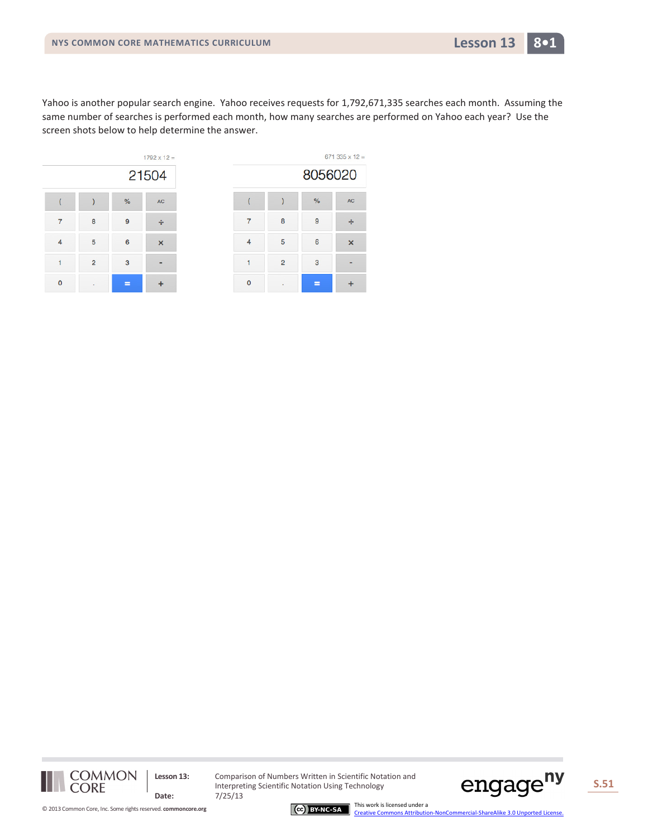Yahoo is another popular search engine. Yahoo receives requests for 1,792,671,335 searches each month. Assuming the same number of searches is performed each month, how many searches are performed on Yahoo each year? Use the screen shots below to help determine the answer.



|   | $671$ 335 x 12 = |         |           |
|---|------------------|---------|-----------|
|   |                  | 8056020 |           |
|   |                  | $\%$    | <b>AC</b> |
|   | 8                | 9       |           |
| ⊿ | 5                | 6       | ×         |
|   | $\overline{2}$   | 3       |           |
|   |                  |         |           |



**Lesson 13:** Comparison of Numbers Written in Scientific Notation and Interpreting Scientific Notation Using Technology



[Creative Commons Attribution-NonCommercial-ShareAlike 3.0 Unported License.](http://creativecommons.org/licenses/by-nc-sa/3.0/deed.en_US)